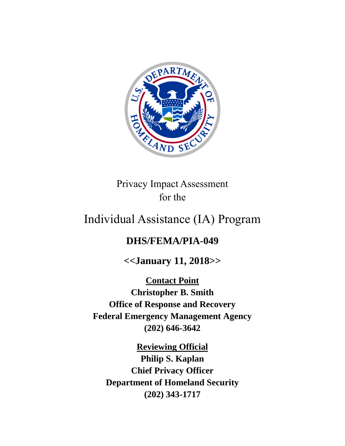

Privacy Impact Assessment for the

# Individual Assistance (IA) Program

## **DHS/FEMA/PIA-049**

**<<January 11, 2018>>**

**Contact Point Christopher B. Smith Office of Response and Recovery Federal Emergency Management Agency (202) 646-3642**

**Reviewing Official Philip S. Kaplan Chief Privacy Officer Department of Homeland Security (202) 343-1717**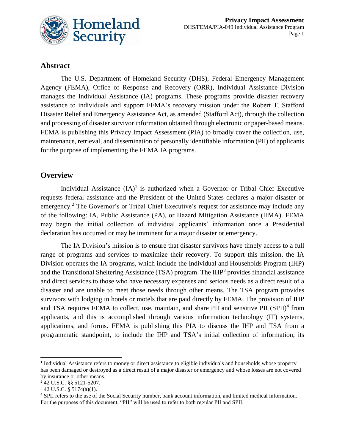

### **Abstract**

The U.S. Department of Homeland Security (DHS), Federal Emergency Management Agency (FEMA), Office of Response and Recovery (ORR), Individual Assistance Division manages the Individual Assistance (IA) programs. These programs provide disaster recovery assistance to individuals and support FEMA's recovery mission under the Robert T. Stafford Disaster Relief and Emergency Assistance Act, as amended (Stafford Act), through the collection and processing of disaster survivor information obtained through electronic or paper-based means. FEMA is publishing this Privacy Impact Assessment (PIA) to broadly cover the collection, use, maintenance, retrieval, and dissemination of personally identifiable information (PII) of applicants for the purpose of implementing the FEMA IA programs.

### **Overview**

Individual Assistance  $(IA)^1$  is authorized when a Governor or Tribal Chief Executive requests federal assistance and the President of the United States declares a major disaster or emergency.<sup>2</sup> The Governor's or Tribal Chief Executive's request for assistance may include any of the following: IA, Public Assistance (PA), or Hazard Mitigation Assistance (HMA). FEMA may begin the initial collection of individual applicants' information once a Presidential declaration has occurred or may be imminent for a major disaster or emergency.

The IA Division's mission is to ensure that disaster survivors have timely access to a full range of programs and services to maximize their recovery. To support this mission, the IA Division operates the IA programs, which include the Individual and Households Program (IHP) and the Transitional Sheltering Assistance (TSA) program. The IHP<sup>3</sup> provides financial assistance and direct services to those who have necessary expenses and serious needs as a direct result of a disaster and are unable to meet those needs through other means. The TSA program provides survivors with lodging in hotels or motels that are paid directly by FEMA. The provision of IHP and TSA requires FEMA to collect, use, maintain, and share PII and sensitive PII (SPII)<sup>4</sup> from applicants, and this is accomplished through various information technology (IT) systems, applications, and forms. FEMA is publishing this PIA to discuss the IHP and TSA from a programmatic standpoint, to include the IHP and TSA's initial collection of information, its

<sup>&</sup>lt;sup>1</sup> Individual Assistance refers to money or direct assistance to eligible individuals and households whose property has been damaged or destroyed as a direct result of a major disaster or emergency and whose losses are not covered by insurance or other means.

<sup>2</sup> 42 U.S.C. §§ 5121-5207.

 $3$  42 U.S.C. § 5174(a)(1).

<sup>4</sup> SPII refers to the use of the Social Security number, bank account information, and limited medical information. For the purposes of this document, "PII" will be used to refer to both regular PII and SPII.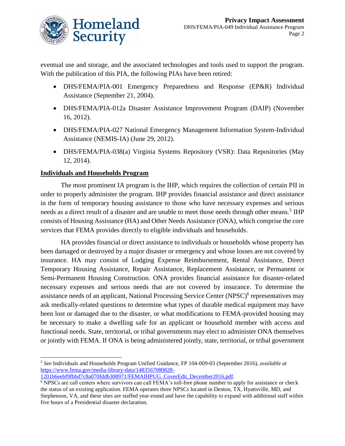

eventual use and storage, and the associated technologies and tools used to support the program. With the publication of this PIA, the following PIAs have been retired:

- DHS/FEMA/PIA-001 Emergency Preparedness and Response (EP&R) Individual Assistance (September 21, 2004).
- DHS/FEMA/PIA-012a Disaster Assistance Improvement Program (DAIP) (November 16, 2012).
- DHS/FEMA/PIA-027 National Emergency Management Information System-Individual Assistance (NEMIS-IA) (June 29, 2012).
- DHS/FEMA/PIA-038(a) Virginia Systems Repository (VSR): Data Repositories (May 12, 2014).

### **Individuals and Households Program**

 $\overline{a}$ 

The most prominent IA program is the IHP, which requires the collection of certain PII in order to properly administer the program. IHP provides financial assistance and direct assistance in the form of temporary housing assistance to those who have necessary expenses and serious needs as a direct result of a disaster and are unable to meet those needs through other means.<sup>5</sup> IHP consists of Housing Assistance (HA) and Other Needs Assistance (ONA), which comprise the core services that FEMA provides directly to eligible individuals and households.

HA provides financial or direct assistance to individuals or households whose property has been damaged or destroyed by a major disaster or emergency and whose losses are not covered by insurance. HA may consist of Lodging Expense Reimbursement, Rental Assistance, Direct Temporary Housing Assistance, Repair Assistance, Replacement Assistance, or Permanent or Semi-Permanent Housing Construction. ONA provides financial assistance for disaster-related necessary expenses and serious needs that are not covered by insurance. To determine the assistance needs of an applicant, National Processing Service Center (NPSC)<sup>6</sup> representatives may ask medically-related questions to determine what types of durable medical equipment may have been lost or damaged due to the disaster, or what modifications to FEMA-provided housing may be necessary to make a dwelling safe for an applicant or household member with access and functional needs. State, territorial, or tribal governments may elect to administer ONA themselves or jointly with FEMA. If ONA is being administered jointly, state, territorial, or tribal government

<sup>5</sup> *See* Individuals and Households Program Unified Guidance, FP 104-009-03 (September 2016), *available at*  [https://www.fema.gov/media-library-data/1483567080828-](https://www.fema.gov/media-library-data/1483567080828-1201b6eebf9fbbd7c8a070fddb308971/FEMAIHPUG_CoverEdit_December2016.pdf)

[<sup>1201</sup>b6eebf9fbbd7c8a070fddb308971/FEMAIHPUG\\_CoverEdit\\_December2016.pdf](https://www.fema.gov/media-library-data/1483567080828-1201b6eebf9fbbd7c8a070fddb308971/FEMAIHPUG_CoverEdit_December2016.pdf)*.*

<sup>6</sup> NPSCs are call centers where survivors can call FEMA's toll-free phone number to apply for assistance or check the status of an existing application. FEMA operates three NPSCs located in Denton, TX, Hyattsville, MD, and Stephenson, VA, and these sites are staffed year-round and have the capability to expand with additional staff within five hours of a Presidential disaster declaration.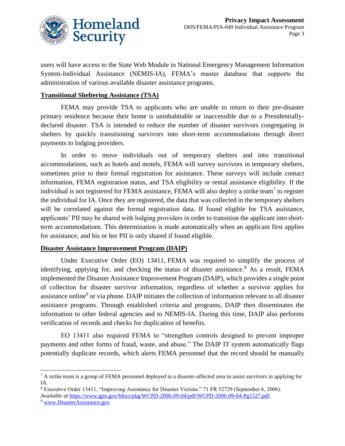

users will have access to the State Web Module in National Emergency Management Information System-Individual Assistance (NEMIS-IA), FEMA's master database that supports the administration of various available disaster assistance programs.

#### **Transitional Sheltering Assistance (TSA)**

FEMA may provide TSA to applicants who are unable to return to their pre-disaster primary residence because their home is uninhabitable or inaccessible due to a Presidentiallydeclared disaster. TSA is intended to reduce the number of disaster survivors congregating in shelters by quickly transitioning survivors into short-term accommodations through direct payments to lodging providers.

In order to move individuals out of temporary shelters and into transitional accommodations, such as hotels and motels, FEMA will survey survivors in temporary shelters, sometimes prior to their formal registration for assistance. These surveys will include contact information, FEMA registration status, and TSA eligibility or rental assistance eligibility. If the individual is not registered for FEMA assistance, FEMA will also deploy a strike team<sup>7</sup> to register the individual for IA. Once they are registered, the data that was collected in the temporary shelters will be correlated against the formal registration data. If found eligible for TSA assistance, applicants' PII may be shared with lodging providers in order to transition the applicant into shortterm accommodations. This determination is made automatically when an applicant first applies for assistance, and his or her PII is only shared if found eligible.

#### **Disaster Assistance Improvement Program (DAIP)**

Under Executive Order (EO) 13411, FEMA was required to simplify the process of identifying, applying for, and checking the status of disaster assistance.<sup>8</sup> As a result, FEMA implemented the Disaster Assistance Improvement Program (DAIP), which provides a single point of collection for disaster survivor information, regardless of whether a survivor applies for assistance online<sup>9</sup> or via phone. DAIP initiates the collection of information relevant to all disaster assistance programs. Through established criteria and programs, DAIP then disseminates the information to other federal agencies and to NEMIS-IA. During this time, DAIP also performs verification of records and checks for duplication of benefits.

EO 13411 also required FEMA to "strengthen controls designed to prevent improper payments and other forms of fraud, waste, and abuse." The DAIP IT system automatically flags potentially duplicate records, which alerts FEMA personnel that the record should be manually

<sup>&</sup>lt;sup>7</sup> A strike team is a group of FEMA personnel deployed to a disaster-affected area to assist survivors in applying for IA.

<sup>8</sup> Executive Order 13411, "Improving Assistance for Disaster Victims." 71 FR 52729 (September 6, 2006). *Available at* [https://www.gpo.gov/fdsys/pkg/WCPD-2006-09-04/pdf/WCPD-2006-09-04-Pg1527.pdf.](https://www.gpo.gov/fdsys/pkg/WCPD-2006-09-04/pdf/WCPD-2006-09-04-Pg1527.pdf) 

<sup>9</sup> [www.DisasterAssistance.gov.](http://www.disasterassistance.gov/)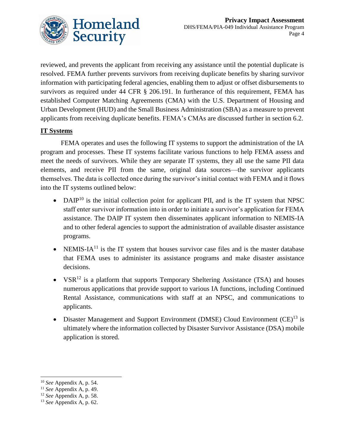

reviewed, and prevents the applicant from receiving any assistance until the potential duplicate is resolved. FEMA further prevents survivors from receiving duplicate benefits by sharing survivor information with participating federal agencies, enabling them to adjust or offset disbursements to survivors as required under 44 CFR § 206.191. In furtherance of this requirement, FEMA has established Computer Matching Agreements (CMA) with the U.S. Department of Housing and Urban Development (HUD) and the Small Business Administration (SBA) as a measure to prevent applicants from receiving duplicate benefits. FEMA's CMAs are discussed further in section 6.2.

### **IT Systems**

FEMA operates and uses the following IT systems to support the administration of the IA program and processes. These IT systems facilitate various functions to help FEMA assess and meet the needs of survivors. While they are separate IT systems, they all use the same PII data elements, and receive PII from the same, original data sources—the survivor applicants themselves. The data is collected once during the survivor's initial contact with FEMA and it flows into the IT systems outlined below:

- DAIP<sup>10</sup> is the initial collection point for applicant PII, and is the IT system that NPSC staff enter survivor information into in order to initiate a survivor's application for FEMA assistance. The DAIP IT system then disseminates applicant information to NEMIS-IA and to other federal agencies to support the administration of available disaster assistance programs.
- NEMIS-IA<sup>11</sup> is the IT system that houses survivor case files and is the master database that FEMA uses to administer its assistance programs and make disaster assistance decisions.
- $VSR<sup>12</sup>$  is a platform that supports Temporary Sheltering Assistance (TSA) and houses numerous applications that provide support to various IA functions, including Continued Rental Assistance, communications with staff at an NPSC, and communications to applicants.
- Disaster Management and Support Environment (DMSE) Cloud Environment  $(CE)^{13}$  is ultimately where the information collected by Disaster Survivor Assistance (DSA) mobile application is stored.

<sup>10</sup> *See* Appendix A, p. 54.

<sup>11</sup> *See* Appendix A, p. 49.

<sup>12</sup> *See* Appendix A, p. 58.

<sup>13</sup> *See* Appendix A, p. 62.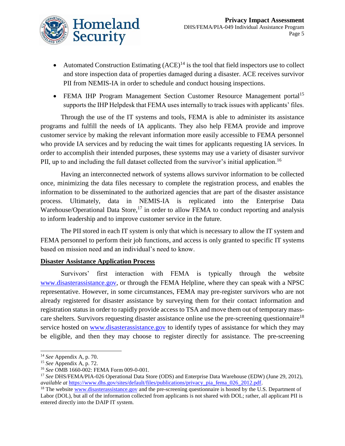

- Automated Construction Estimating  $(ACE)^{14}$  is the tool that field inspectors use to collect and store inspection data of properties damaged during a disaster. ACE receives survivor PII from NEMIS-IA in order to schedule and conduct housing inspections.
- FEMA IHP Program Management Section Customer Resource Management portal<sup>15</sup> supports the IHP Helpdesk that FEMA uses internally to track issues with applicants' files.

Through the use of the IT systems and tools, FEMA is able to administer its assistance programs and fulfill the needs of IA applicants. They also help FEMA provide and improve customer service by making the relevant information more easily accessible to FEMA personnel who provide IA services and by reducing the wait times for applicants requesting IA services. In order to accomplish their intended purposes, these systems may use a variety of disaster survivor PII, up to and including the full dataset collected from the survivor's initial application.<sup>16</sup>

Having an interconnected network of systems allows survivor information to be collected once, minimizing the data files necessary to complete the registration process, and enables the information to be disseminated to the authorized agencies that are part of the disaster assistance process. Ultimately, data in NEMIS-IA is replicated into the Enterprise Data Warehouse/Operational Data Store,<sup>17</sup> in order to allow FEMA to conduct reporting and analysis to inform leadership and to improve customer service in the future.

The PII stored in each IT system is only that which is necessary to allow the IT system and FEMA personnel to perform their job functions, and access is only granted to specific IT systems based on mission need and an individual's need to know.

### **Disaster Assistance Application Process**

Survivors' first interaction with FEMA is typically through the website www.disasterassistance.gov, or through the FEMA Helpline, where they can speak with a NPSC representative. However, in some circumstances, FEMA may pre-register survivors who are not already registered for disaster assistance by surveying them for their contact information and registration status in order to rapidly provide access to TSA and move them out of temporary masscare shelters. Survivors requesting disaster assistance online use the pre-screening questionnaire<sup>18</sup> service hosted on [www.disasterassistance.gov](http://www.disasterassistance.gov/) to identify types of assistance for which they may be eligible, and then they may choose to register directly for assistance. The pre-screening

 $\overline{a}$ <sup>14</sup> *See* Appendix A, p. 70.

<sup>15</sup> *See* Appendix A, p. 72.

<sup>16</sup> *See* OMB 1660-002: FEMA Form 009-0-001.

<sup>17</sup> *See* DHS/FEMA/PIA-026 Operational Data Store (ODS) and Enterprise Data Warehouse (EDW) (June 29, 2012), *available at* [https://www.dhs.gov/sites/default/files/publications/privacy\\_pia\\_fema\\_026\\_2012.pdf.](https://www.dhs.gov/sites/default/files/publications/privacy_pia_fema_026_2012.pdf)

<sup>&</sup>lt;sup>18</sup> The website [www.disasterassistance.gov a](http://www.disasterassistance.gov/)nd the pre-screening questionnaire is hosted by the U.S. Department of Labor (DOL), but all of the information collected from applicants is not shared with DOL; rather, all applicant PII is entered directly into the DAIP IT system.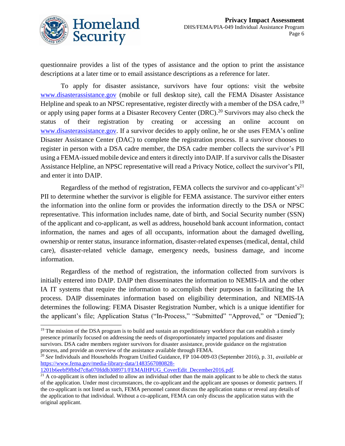

questionnaire provides a list of the types of assistance and the option to print the assistance descriptions at a later time or to email assistance descriptions as a reference for later.

To apply for disaster assistance, survivors have four options: visit the website [www.disasterassistance.gov](http://www.disasterassistance.gov/) (mobile or full desktop site), call the FEMA Disaster Assistance Helpline and speak to an NPSC representative, register directly with a member of the DSA cadre, <sup>19</sup> or apply using paper forms at a Disaster Recovery Center (DRC).<sup>20</sup> Survivors may also check the status of their registration by creating or accessing an online account on [www.disasterassistance.gov.](http://www.disasterassistance.gov/) If a survivor decides to apply online, he or she uses FEMA's online Disaster Assistance Center (DAC) to complete the registration process. If a survivor chooses to register in person with a DSA cadre member, the DSA cadre member collects the survivor's PII using a FEMA-issued mobile device and enters it directly into DAIP. If a survivor calls the Disaster Assistance Helpline, an NPSC representative will read a Privacy Notice, collect the survivor's PII, and enter it into DAIP.

Regardless of the method of registration, FEMA collects the survivor and co-applicant's<sup>21</sup> PII to determine whether the survivor is eligible for FEMA assistance. The survivor either enters the information into the online form or provides the information directly to the DSA or NPSC representative. This information includes name, date of birth, and Social Security number (SSN) of the applicant and co-applicant, as well as address, household bank account information, contact information, the names and ages of all occupants, information about the damaged dwelling, ownership or renter status, insurance information, disaster-related expenses (medical, dental, child care), disaster-related vehicle damage, emergency needs, business damage, and income information.

Regardless of the method of registration, the information collected from survivors is initially entered into DAIP. DAIP then disseminates the information to NEMIS-IA and the other IA IT systems that require the information to accomplish their purposes in facilitating the IA process. DAIP disseminates information based on eligibility determination, and NEMIS-IA determines the following: FEMA Disaster Registration Number, which is a unique identifier for the applicant's file; Application Status ("In-Process," "Submitted" "Approved," or "Denied");

[1201b6eebf9fbbd7c8a070fddb308971/FEMAIHPUG\\_CoverEdit\\_December2016.pdf](https://www.fema.gov/media-library-data/1483567080828-1201b6eebf9fbbd7c8a070fddb308971/FEMAIHPUG_CoverEdit_December2016.pdf)*.*

 $19$  The mission of the DSA program is to build and sustain an expeditionary workforce that can establish a timely presence primarily focused on addressing the needs of disproportionately impacted populations and disaster survivors. DSA cadre members register survivors for disaster assistance, provide guidance on the registration process, and provide an overview of the assistance available through FEMA.

<sup>20</sup> *See* Individuals and Households Program Unified Guidance, FP 104-009-03 (September 2016), p. 31, *available at*  [https://www.fema.gov/media-library-data/1483567080828-](https://www.fema.gov/media-library-data/1483567080828-1201b6eebf9fbbd7c8a070fddb308971/FEMAIHPUG_CoverEdit_December2016.pdf)

 $^{21}$  A co-applicant is often included to allow an individual other than the main applicant to be able to check the status of the application. Under most circumstances, the co-applicant and the applicant are spouses or domestic partners. If the co-applicant is not listed as such, FEMA personnel cannot discuss the application status or reveal any details of the application to that individual. Without a co-applicant, FEMA can only discuss the application status with the original applicant.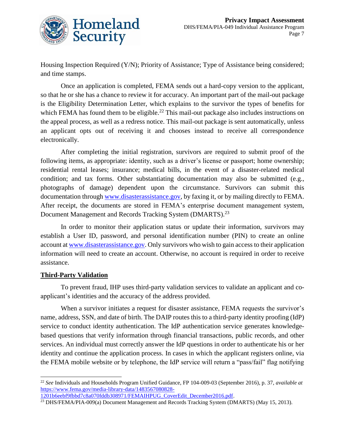

Housing Inspection Required (Y/N); Priority of Assistance; Type of Assistance being considered; and time stamps.

Once an application is completed, FEMA sends out a hard-copy version to the applicant, so that he or she has a chance to review it for accuracy. An important part of the mail-out package is the Eligibility Determination Letter, which explains to the survivor the types of benefits for which FEMA has found them to be eligible.<sup>22</sup> This mail-out package also includes instructions on the appeal process, as well as a redress notice. This mail-out package is sent automatically, unless an applicant opts out of receiving it and chooses instead to receive all correspondence electronically.

After completing the initial registration, survivors are required to submit proof of the following items, as appropriate: identity, such as a driver's license or passport; home ownership; residential rental leases; insurance; medical bills, in the event of a disaster-related medical condition; and tax forms. Other substantiating documentation may also be submitted (e.g., photographs of damage) dependent upon the circumstance. Survivors can submit this documentation through [www.disasterassistance.gov,](http://www.disasterassistance.gov/) by faxing it, or by mailing directly to FEMA. After receipt, the documents are stored in FEMA's enterprise document management system, Document Management and Records Tracking System (DMARTS).<sup>23</sup>

In order to monitor their application status or update their information, survivors may establish a User ID, password, and personal identification number (PIN) to create an online account a[t www.disasterassistance.gov.](http://www.disasterassistance.gov/) Only survivors who wish to gain access to their application information will need to create an account. Otherwise, no account is required in order to receive assistance.

### **Third-Party Validation**

 $\overline{a}$ 

To prevent fraud, IHP uses third-party validation services to validate an applicant and coapplicant's identities and the accuracy of the address provided.

When a survivor initiates a request for disaster assistance, FEMA requests the survivor's name, address, SSN, and date of birth. The DAIP routes this to a third-party identity proofing (IdP) service to conduct identity authentication. The IdP authentication service generates knowledgebased questions that verify information through financial transactions, public records, and other services. An individual must correctly answer the IdP questions in order to authenticate his or her identity and continue the application process. In cases in which the applicant registers online, via the FEMA mobile website or by telephone, the IdP service will return a "pass/fail" flag notifying

<sup>22</sup> *See* Individuals and Households Program Unified Guidance, FP 104-009-03 (September 2016), p. 37, *available at*  [https://www.fema.gov/media-library-data/1483567080828-](https://www.fema.gov/media-library-data/1483567080828-1201b6eebf9fbbd7c8a070fddb308971/FEMAIHPUG_CoverEdit_December2016.pdf) [1201b6eebf9fbbd7c8a070fddb308971/FEMAIHPUG\\_CoverEdit\\_December2016.pdf.](https://www.fema.gov/media-library-data/1483567080828-1201b6eebf9fbbd7c8a070fddb308971/FEMAIHPUG_CoverEdit_December2016.pdf)

<sup>&</sup>lt;sup>23</sup> DHS/FEMA/PIA-009(a) Document Management and Records Tracking System (DMARTS) (May 15, 2013).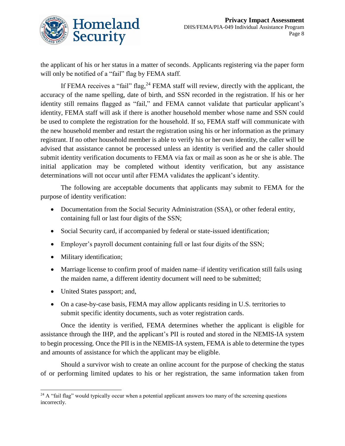

the applicant of his or her status in a matter of seconds. Applicants registering via the paper form will only be notified of a "fail" flag by FEMA staff.

If FEMA receives a "fail" flag,  $24$  FEMA staff will review, directly with the applicant, the accuracy of the name spelling, date of birth, and SSN recorded in the registration. If his or her identity still remains flagged as "fail," and FEMA cannot validate that particular applicant's identity, FEMA staff will ask if there is another household member whose name and SSN could be used to complete the registration for the household. If so, FEMA staff will communicate with the new household member and restart the registration using his or her information as the primary registrant. If no other household member is able to verify his or her own identity, the caller will be advised that assistance cannot be processed unless an identity is verified and the caller should submit identity verification documents to FEMA via fax or mail as soon as he or she is able. The initial application may be completed without identity verification, but any assistance determinations will not occur until after FEMA validates the applicant's identity.

The following are acceptable documents that applicants may submit to FEMA for the purpose of identity verification:

- Documentation from the Social Security Administration (SSA), or other federal entity, containing full or last four digits of the SSN;
- Social Security card, if accompanied by federal or state-issued identification;
- Employer's payroll document containing full or last four digits of the SSN;
- Military identification;
- Marriage license to confirm proof of maiden name–if identity verification still fails using the maiden name, a different identity document will need to be submitted;
- United States passport; and,
- On a case-by-case basis, FEMA may allow applicants residing in U.S. territories to submit specific identity documents, such as voter registration cards.

Once the identity is verified, FEMA determines whether the applicant is eligible for assistance through the IHP, and the applicant's PII is routed and stored in the NEMIS-IA system to begin processing. Once the PII is in the NEMIS-IA system, FEMA is able to determine the types and amounts of assistance for which the applicant may be eligible.

Should a survivor wish to create an online account for the purpose of checking the status of or performing limited updates to his or her registration, the same information taken from

 $\overline{a}$  $24$  A "fail flag" would typically occur when a potential applicant answers too many of the screening questions incorrectly.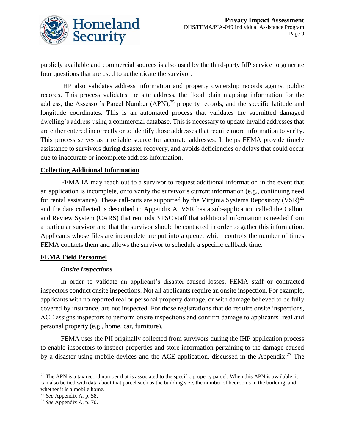

publicly available and commercial sources is also used by the third-party IdP service to generate four questions that are used to authenticate the survivor.

IHP also validates address information and property ownership records against public records. This process validates the site address, the flood plain mapping information for the address, the Assessor's Parcel Number  $(APN)$ ,<sup>25</sup> property records, and the specific latitude and longitude coordinates. This is an automated process that validates the submitted damaged dwelling's address using a commercial database. This is necessary to update invalid addresses that are either entered incorrectly or to identify those addresses that require more information to verify. This process serves as a reliable source for accurate addresses. It helps FEMA provide timely assistance to survivors during disaster recovery, and avoids deficiencies or delays that could occur due to inaccurate or incomplete address information.

#### **Collecting Additional Information**

FEMA IA may reach out to a survivor to request additional information in the event that an application is incomplete, or to verify the survivor's current information (e.g., continuing need for rental assistance). These call-outs are supported by the Virginia Systems Repository (VSR)<sup>26</sup> and the data collected is described in Appendix A. VSR has a sub-application called the Callout and Review System (CARS) that reminds NPSC staff that additional information is needed from a particular survivor and that the survivor should be contacted in order to gather this information. Applicants whose files are incomplete are put into a queue, which controls the number of times FEMA contacts them and allows the survivor to schedule a specific callback time.

### **FEMA Field Personnel**

#### *Onsite Inspections*

In order to validate an applicant's disaster-caused losses, FEMA staff or contracted inspectors conduct onsite inspections. Not all applicants require an onsite inspection. For example, applicants with no reported real or personal property damage, or with damage believed to be fully covered by insurance, are not inspected. For those registrations that do require onsite inspections, ACE assigns inspectors to perform onsite inspections and confirm damage to applicants' real and personal property (e.g., home, car, furniture).

FEMA uses the PII originally collected from survivors during the IHP application process to enable inspectors to inspect properties and store information pertaining to the damage caused by a disaster using mobile devices and the ACE application, discussed in the Appendix.<sup>27</sup> The

<sup>&</sup>lt;sup>25</sup> The APN is a tax record number that is associated to the specific property parcel. When this APN is available, it can also be tied with data about that parcel such as the building size, the number of bedrooms in the building, and whether it is a mobile home.

<sup>26</sup> *See* Appendix A, p. 58.

<sup>27</sup> *See* Appendix A, p. 70.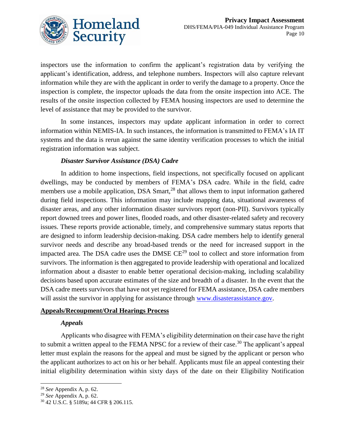

inspectors use the information to confirm the applicant's registration data by verifying the applicant's identification, address, and telephone numbers. Inspectors will also capture relevant information while they are with the applicant in order to verify the damage to a property. Once the inspection is complete, the inspector uploads the data from the onsite inspection into ACE. The results of the onsite inspection collected by FEMA housing inspectors are used to determine the level of assistance that may be provided to the survivor.

In some instances, inspectors may update applicant information in order to correct information within NEMIS-IA. In such instances, the information is transmitted to FEMA's IA IT systems and the data is rerun against the same identity verification processes to which the initial registration information was subject.

### *Disaster Survivor Assistance (DSA) Cadre*

In addition to home inspections, field inspections, not specifically focused on applicant dwellings, may be conducted by members of FEMA's DSA cadre. While in the field, cadre members use a mobile application, DSA Smart, $^{28}$  that allows them to input information gathered during field inspections. This information may include mapping data, situational awareness of disaster areas, and any other information disaster survivors report (non-PII). Survivors typically report downed trees and power lines, flooded roads, and other disaster-related safety and recovery issues. These reports provide actionable, timely, and comprehensive summary status reports that are designed to inform leadership decision-making. DSA cadre members help to identify general survivor needs and describe any broad-based trends or the need for increased support in the impacted area. The DSA cadre uses the DMSE CE<sup>29</sup> tool to collect and store information from survivors. The information is then aggregated to provide leadership with operational and localized information about a disaster to enable better operational decision-making, including scalability decisions based upon accurate estimates of the size and breadth of a disaster. In the event that the DSA cadre meets survivors that have not yet registered for FEMA assistance, DSA cadre members will assist the survivor in applying for assistance through [www.disasterassistance.gov.](http://www.disasterassistance.gov/)

#### **Appeals/Recoupment/Oral Hearings Process**

### *Appeals*

Applicants who disagree with FEMA's eligibility determination on their case have the right to submit a written appeal to the FEMA NPSC for a review of their case.<sup>30</sup> The applicant's appeal letter must explain the reasons for the appeal and must be signed by the applicant or person who the applicant authorizes to act on his or her behalf. Applicants must file an appeal contesting their initial eligibility determination within sixty days of the date on their Eligibility Notification

l <sup>28</sup> *See* Appendix A, p. 62.

<sup>29</sup> *See* Appendix A, p. 62.

<sup>30</sup> 42 U.S.C. § 5189a; 44 CFR § 206.115.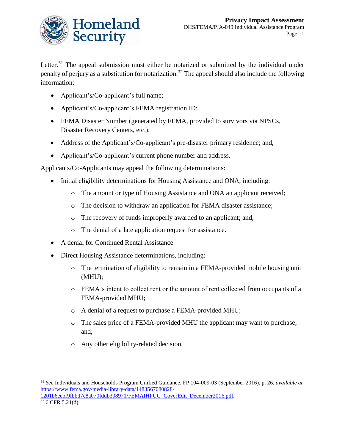

Letter.<sup>31</sup> The appeal submission must either be notarized or submitted by the individual under penalty of perjury as a substitution for notarization.<sup>32</sup> The appeal should also include the following information:

- Applicant's/Co-applicant's full name;
- Applicant's/Co-applicant's FEMA registration ID;
- FEMA Disaster Number (generated by FEMA, provided to survivors via NPSCs, Disaster Recovery Centers, etc.);
- Address of the Applicant's/Co-applicant's pre-disaster primary residence; and,
- Applicant's/Co-applicant's current phone number and address.

Applicants/Co-Applicants may appeal the following determinations:

- Initial eligibility determinations for Housing Assistance and ONA, including:
	- o The amount or type of Housing Assistance and ONA an applicant received;
	- o The decision to withdraw an application for FEMA disaster assistance;
	- o The recovery of funds improperly awarded to an applicant; and,
	- o The denial of a late application request for assistance.
- A denial for Continued Rental Assistance
- Direct Housing Assistance determinations, including:
	- o The termination of eligibility to remain in a FEMA-provided mobile housing unit (MHU);
	- o FEMA's intent to collect rent or the amount of rent collected from occupants of a FEMA-provided MHU;
	- o A denial of a request to purchase a FEMA-provided MHU;
	- o The sales price of a FEMA-provided MHU the applicant may want to purchase; and,
	- o Any other eligibility-related decision.

<sup>31</sup> *See* Individuals and Households Program Unified Guidance, FP 104-009-03 (September 2016), p. 26, *available at*  [https://www.fema.gov/media-library-data/1483567080828-](https://www.fema.gov/media-library-data/1483567080828-1201b6eebf9fbbd7c8a070fddb308971/FEMAIHPUG_CoverEdit_December2016.pdf) [1201b6eebf9fbbd7c8a070fddb308971/FEMAIHPUG\\_CoverEdit\\_December2016.pdf](https://www.fema.gov/media-library-data/1483567080828-1201b6eebf9fbbd7c8a070fddb308971/FEMAIHPUG_CoverEdit_December2016.pdf)*.*

 $32$  6 CFR 5.21(d).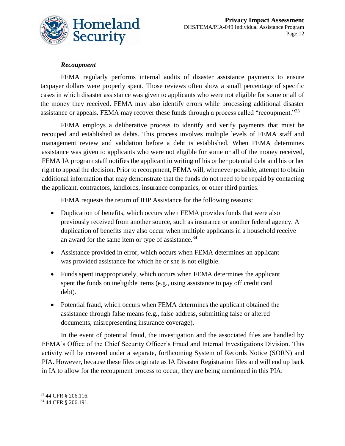

### *Recoupment*

FEMA regularly performs internal audits of disaster assistance payments to ensure taxpayer dollars were properly spent. Those reviews often show a small percentage of specific cases in which disaster assistance was given to applicants who were not eligible for some or all of the money they received. FEMA may also identify errors while processing additional disaster assistance or appeals. FEMA may recover these funds through a process called "recoupment."<sup>33</sup>

FEMA employs a deliberative process to identify and verify payments that must be recouped and established as debts. This process involves multiple levels of FEMA staff and management review and validation before a debt is established. When FEMA determines assistance was given to applicants who were not eligible for some or all of the money received, FEMA IA program staff notifies the applicant in writing of his or her potential debt and his or her right to appeal the decision. Prior to recoupment, FEMA will, whenever possible, attempt to obtain additional information that may demonstrate that the funds do not need to be repaid by contacting the applicant, contractors, landlords, insurance companies, or other third parties.

FEMA requests the return of IHP Assistance for the following reasons:

- Duplication of benefits, which occurs when FEMA provides funds that were also previously received from another source, such as insurance or another federal agency. A duplication of benefits may also occur when multiple applicants in a household receive an award for the same item or type of assistance.<sup>34</sup>
- Assistance provided in error, which occurs when FEMA determines an applicant was provided assistance for which he or she is not eligible.
- Funds spent inappropriately, which occurs when FEMA determines the applicant spent the funds on ineligible items (e.g., using assistance to pay off credit card debt).
- Potential fraud, which occurs when FEMA determines the applicant obtained the assistance through false means (e.g., false address, submitting false or altered documents, misrepresenting insurance coverage).

In the event of potential fraud, the investigation and the associated files are handled by FEMA's Office of the Chief Security Officer's Fraud and Internal Investigations Division. This activity will be covered under a separate, forthcoming System of Records Notice (SORN) and PIA. However, because these files originate as IA Disaster Registration files and will end up back in IA to allow for the recoupment process to occur, they are being mentioned in this PIA.

<sup>33</sup> 44 CFR § 206.116.

<sup>34</sup> 44 CFR § 206.191.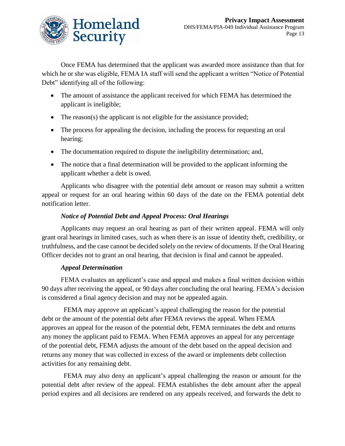

Once FEMA has determined that the applicant was awarded more assistance than that for which he or she was eligible, FEMA IA staff will send the applicant a written "Notice of Potential Debt" identifying all of the following:

- The amount of assistance the applicant received for which FEMA has determined the applicant is ineligible;
- The reason(s) the applicant is not eligible for the assistance provided;
- The process for appealing the decision, including the process for requesting an oral hearing;
- The documentation required to dispute the ineligibility determination; and,
- The notice that a final determination will be provided to the applicant informing the applicant whether a debt is owed.

Applicants who disagree with the potential debt amount or reason may submit a written appeal or request for an oral hearing within 60 days of the date on the FEMA potential debt notification letter.

### *Notice of Potential Debt and Appeal Process: Oral Hearings*

Applicants may request an oral hearing as part of their written appeal. FEMA will only grant oral hearings in limited cases, such as when there is an issue of identity theft, credibility, or truthfulness, and the case cannot be decided solely on the review of documents. If the Oral Hearing Officer decides not to grant an oral hearing, that decision is final and cannot be appealed.

### *Appeal Determination*

FEMA evaluates an applicant's case and appeal and makes a final written decision within 90 days after receiving the appeal, or 90 days after concluding the oral hearing. FEMA's decision is considered a final agency decision and may not be appealed again.

 FEMA may approve an applicant's appeal challenging the reason for the potential debt or the amount of the potential debt after FEMA reviews the appeal. When FEMA approves an appeal for the reason of the potential debt, FEMA terminates the debt and returns any money the applicant paid to FEMA. When FEMA approves an appeal for any percentage of the potential debt, FEMA adjusts the amount of the debt based on the appeal decision and returns any money that was collected in excess of the award or implements debt collection activities for any remaining debt.

 FEMA may also deny an applicant's appeal challenging the reason or amount for the potential debt after review of the appeal. FEMA establishes the debt amount after the appeal period expires and all decisions are rendered on any appeals received, and forwards the debt to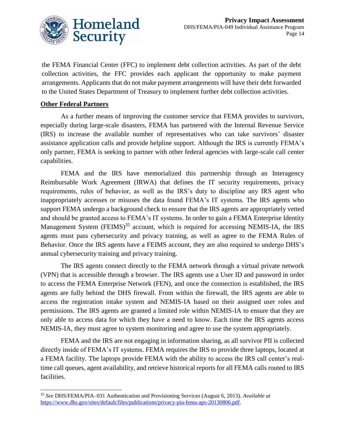

the FEMA Financial Center (FFC) to implement debt collection activities. As part of the debt collection activities, the FFC provides each applicant the opportunity to make payment arrangements. Applicants that do not make payment arrangements will have their debt forwarded to the United States Department of Treasury to implement further debt collection activities.

### **Other Federal Partners**

 $\overline{a}$ 

As a further means of improving the customer service that FEMA provides to survivors, especially during large-scale disasters, FEMA has partnered with the Internal Revenue Service (IRS) to increase the available number of representatives who can take survivors' disaster assistance application calls and provide helpline support. Although the IRS is currently FEMA's only partner, FEMA is seeking to partner with other federal agencies with large-scale call center capabilities.

FEMA and the IRS have memorialized this partnership through an Interagency Reimbursable Work Agreement (IRWA) that defines the IT security requirements, privacy requirements, rules of behavior, as well as the IRS's duty to discipline any IRS agent who inappropriately accesses or misuses the data found FEMA's IT systems. The IRS agents who support FEMA undergo a background check to ensure that the IRS agents are appropriately vetted and should be granted access to FEMA's IT systems. In order to gain a FEMA Enterprise Identity Management System  $(FEMS)^{35}$  account, which is required for accessing NEMIS-IA, the IRS agents must pass cybersecurity and privacy training, as well as agree to the FEMA Rules of Behavior. Once the IRS agents have a FEIMS account, they are also required to undergo DHS's annual cybersecurity training and privacy training.

The IRS agents connect directly to the FEMA network through a virtual private network (VPN) that is accessible through a browser. The IRS agents use a User ID and password in order to access the FEMA Enterprise Network (FEN), and once the connection is established, the IRS agents are fully behind the DHS firewall. From within the firewall, the IRS agents are able to access the registration intake system and NEMIS-IA based on their assigned user roles and permissions. The IRS agents are granted a limited role within NEMIS-IA to ensure that they are only able to access data for which they have a need to know. Each time the IRS agents access NEMIS-IA, they must agree to system monitoring and agree to use the system appropriately.

FEMA and the IRS are not engaging in information sharing, as all survivor PII is collected directly inside of FEMA's IT systems. FEMA requires the IRS to provide three laptops, located at a FEMA facility. The laptops provide FEMA with the ability to access the IRS call center's realtime call queues, agent availability, and retrieve historical reports for all FEMA calls routed to IRS facilities.

<sup>35</sup> *See* DHS/FEMA/PIA–031 Authentication and Provisioning Services (August 6, 2013). *Available at* [https://www.dhs.gov/sites/default/files/publications/privacy-pia-fema-aps-20130806.pdf.](https://www.dhs.gov/sites/default/files/publications/privacy-pia-fema-aps-20130806.pdf)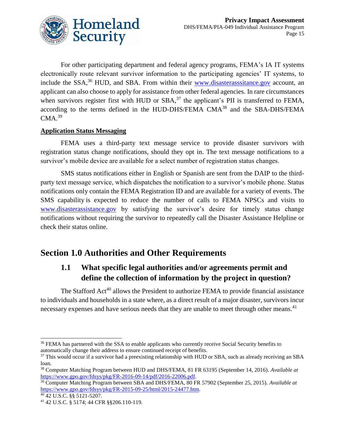

For other participating department and federal agency programs, FEMA's IA IT systems electronically route relevant survivor information to the participating agencies' IT systems, to include the SSA,<sup>36</sup> HUD, and SBA. From within their [www.disasterasssitance.gov](file:///C:/Users/Hannah.Burgess/AppData/Roaming/Microsoft/Word/www.disasterasssitance.gov) account, an applicant can also choose to apply for assistance from other federal agencies. In rare circumstances when survivors register first with HUD or  $SBA$ ,<sup>37</sup> the applicant's PII is transferred to FEMA, according to the terms defined in the HUD-DHS/FEMA CMA<sup>38</sup> and the SBA-DHS/FEMA  $CMA.<sup>39</sup>$ 

### **Application Status Messaging**

FEMA uses a third-party text message service to provide disaster survivors with registration status change notifications, should they opt in. The text message notifications to a survivor's mobile device are available for a select number of registration status changes.

SMS status notifications either in English or Spanish are sent from the DAIP to the thirdparty text message service, which dispatches the notification to a survivor's mobile phone. Status notifications only contain the FEMA Registration ID and are available for a variety of events. The SMS capability is expected to reduce the number of calls to FEMA NPSCs and visits to [www.disasterassistance.gov](http://www.disasterassistance.gov/) by satisfying the survivor's desire for timely status change notifications without requiring the survivor to repeatedly call the Disaster Assistance Helpline or check their status online.

## **Section 1.0 Authorities and Other Requirements**

### **1.1 What specific legal authorities and/or agreements permit and define the collection of information by the project in question?**

The Stafford Act<sup>40</sup> allows the President to authorize FEMA to provide financial assistance to individuals and households in a state where, as a direct result of a major disaster, survivors incur necessary expenses and have serious needs that they are unable to meet through other means.<sup>41</sup>

 $\overline{a}$ <sup>36</sup> FEMA has partnered with the SSA to enable applicants who currently receive Social Security benefits to automatically change their address to ensure continued receipt of benefits.

<sup>&</sup>lt;sup>37</sup> This would occur if a survivor had a preexisting relationship with HUD or SBA, such as already receiving an SBA loan.

<sup>38</sup> Computer Matching Program between HUD and DHS/FEMA, 81 FR 63195 (September 14, 2016). *Available at* [https://www.gpo.gov/fdsys/pkg/FR-2016-09-14/pdf/2016-22006.pdf.](https://www.gpo.gov/fdsys/pkg/FR-2016-09-14/pdf/2016-22006.pdf)

<sup>39</sup> Computer Matching Program between SBA and DHS/FEMA, 80 FR 57902 (September 25, 2015). *Available at*  [https://www.gpo.gov/fdsys/pkg/FR-2015-09-25/html/2015-24477.htm.](https://www.gpo.gov/fdsys/pkg/FR-2015-09-25/html/2015-24477.htm) 

<sup>40</sup> 42 U.S.C. §§ 5121-5207.

<sup>41</sup> 42 U.S.C. § 5174; 44 CFR §§206.110-119.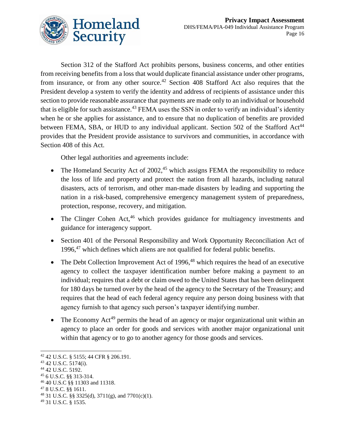

Section 312 of the Stafford Act prohibits persons, business concerns, and other entities from receiving benefits from a loss that would duplicate financial assistance under other programs, from insurance, or from any other source.<sup>42</sup> Section 408 Stafford Act also requires that the President develop a system to verify the identity and address of recipients of assistance under this section to provide reasonable assurance that payments are made only to an individual or household that is eligible for such assistance.<sup>43</sup> FEMA uses the SSN in order to verify an individual's identity when he or she applies for assistance, and to ensure that no duplication of benefits are provided between FEMA, SBA, or HUD to any individual applicant. Section 502 of the Stafford Act<sup>44</sup> provides that the President provide assistance to survivors and communities, in accordance with Section 408 of this Act.

Other legal authorities and agreements include:

- The Homeland Security Act of  $2002<sub>1</sub><sup>45</sup>$  which assigns FEMA the responsibility to reduce the loss of life and property and protect the nation from all hazards, including natural disasters, acts of terrorism, and other man-made disasters by leading and supporting the nation in a risk-based, comprehensive emergency management system of preparedness, protection, response, recovery, and mitigation.
- $\bullet$  The Clinger Cohen Act,<sup>46</sup> which provides guidance for multiagency investments and guidance for interagency support.
- Section 401 of the Personal Responsibility and Work Opportunity Reconciliation Act of 1996,<sup>47</sup> which defines which aliens are not qualified for federal public benefits.
- The Debt Collection Improvement Act of 1996, $48$  which requires the head of an executive agency to collect the taxpayer identification number before making a payment to an individual; requires that a debt or claim owed to the United States that has been delinquent for 180 days be turned over by the head of the agency to the Secretary of the Treasury; and requires that the head of each federal agency require any person doing business with that agency furnish to that agency such person's taxpayer identifying number.
- The Economy  $Act^{49}$  permits the head of an agency or major organizational unit within an agency to place an order for goods and services with another major organizational unit within that agency or to go to another agency for those goods and services.

 $\overline{a}$ 

<sup>44</sup> 42 U.S.C. 5192.

<sup>42</sup> 42 U.S.C. § 5155; 44 CFR § 206.191.

<sup>43</sup> 42 U.S.C. 5174(i).

<sup>45</sup> 6 U.S.C. §§ 313-314.

<sup>46</sup> 40 U.S.C §§ 11303 and 11318.

<sup>47</sup> 8 U.S.C. §§ 1611.

<sup>48</sup> 31 U.S.C. §§ 3325(d), 3711(g), and 7701(c)(1).

<sup>49</sup> 31 U.S.C. § 1535.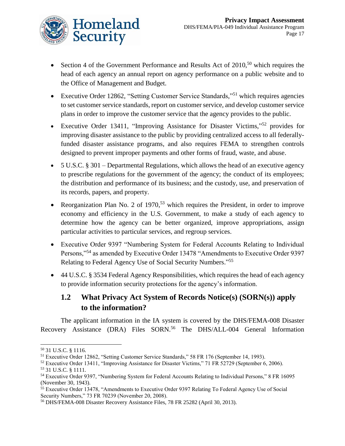

- Section 4 of the Government Performance and Results Act of  $2010$ ,<sup>50</sup> which requires the head of each agency an annual report on agency performance on a public website and to the Office of Management and Budget.
- Executive Order 12862, "Setting Customer Service Standards,"<sup>51</sup> which requires agencies to set customer service standards, report on customer service, and develop customer service plans in order to improve the customer service that the agency provides to the public.
- Executive Order 13411, "Improving Assistance for Disaster Victims,"<sup>52</sup> provides for improving disaster assistance to the public by providing centralized access to all federallyfunded disaster assistance programs, and also requires FEMA to strengthen controls designed to prevent improper payments and other forms of fraud, waste, and abuse.
- 5 U.S.C. § 301 Departmental Regulations, which allows the head of an executive agency to prescribe regulations for the government of the agency; the conduct of its employees; the distribution and performance of its business; and the custody, use, and preservation of its records, papers, and property.
- Reorganization Plan No. 2 of 1970,<sup>53</sup> which requires the President, in order to improve economy and efficiency in the U.S. Government, to make a study of each agency to determine how the agency can be better organized, improve appropriations, assign particular activities to particular services, and regroup services.
- Executive Order 9397 "Numbering System for Federal Accounts Relating to Individual Persons,"<sup>54</sup> as amended by Executive Order 13478 "Amendments to Executive Order 9397 Relating to Federal Agency Use of Social Security Numbers."<sup>55</sup>
- 44 U.S.C. § 3534 Federal Agency Responsibilities, which requires the head of each agency to provide information security protections for the agency's information.

## **1.2 What Privacy Act System of Records Notice(s) (SORN(s)) apply to the information?**

The applicant information in the IA system is covered by the DHS/FEMA-008 Disaster Recovery Assistance (DRA) Files SORN.<sup>56</sup> The DHS/ALL-004 General Information

l <sup>50</sup> 31 U.S.C. § 1116.

<sup>51</sup> Executive Order 12862, "Setting Customer Service Standards," 58 FR 176 (September 14, 1993).

<sup>52</sup> Executive Order 13411, "Improving Assistance for Disaster Victims," 71 FR 52729 (September 6, 2006).

<sup>53</sup> 31 U.S.C. § 1111.

<sup>54</sup> Executive Order 9397, "Numbering System for Federal Accounts Relating to Individual Persons," 8 FR 16095 (November 30, 1943).

<sup>55</sup> Executive Order 13478, "Amendments to Executive Order 9397 Relating To Federal Agency Use of Social Security Numbers," 73 FR 70239 (November 20, 2008).

<sup>56</sup> DHS/FEMA-008 Disaster Recovery Assistance Files, 78 FR 25282 (April 30, 2013).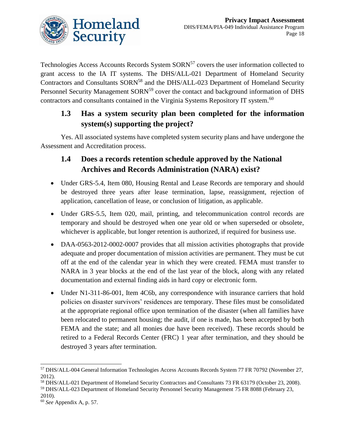

Technologies Access Accounts Records System SORN<sup>57</sup> covers the user information collected to grant access to the IA IT systems. The DHS/ALL-021 Department of Homeland Security Contractors and Consultants SORN<sup>58</sup> and the DHS/ALL-023 Department of Homeland Security Personnel Security Management SORN<sup>59</sup> cover the contact and background information of DHS contractors and consultants contained in the Virginia Systems Repository IT system.<sup>60</sup>

## **1.3 Has a system security plan been completed for the information system(s) supporting the project?**

Yes. All associated systems have completed system security plans and have undergone the Assessment and Accreditation process.

## **1.4 Does a records retention schedule approved by the National Archives and Records Administration (NARA) exist?**

- Under GRS-5.4, Item 080, Housing Rental and Lease Records are temporary and should be destroyed three years after lease termination, lapse, reassignment, rejection of application, cancellation of lease, or conclusion of litigation, as applicable.
- Under GRS-5.5, Item 020, mail, printing, and telecommunication control records are temporary and should be destroyed when one year old or when superseded or obsolete, whichever is applicable, but longer retention is authorized, if required for business use.
- DAA-0563-2012-0002-0007 provides that all mission activities photographs that provide adequate and proper documentation of mission activities are permanent. They must be cut off at the end of the calendar year in which they were created. FEMA must transfer to NARA in 3 year blocks at the end of the last year of the block, along with any related documentation and external finding aids in hard copy or electronic form.
- Under N1-311-86-001, Item 4C6b, any correspondence with insurance carriers that hold policies on disaster survivors' residences are temporary. These files must be consolidated at the appropriate regional office upon termination of the disaster (when all families have been relocated to permanent housing; the audit, if one is made, has been accepted by both FEMA and the state; and all monies due have been received). These records should be retired to a Federal Records Center (FRC) 1 year after termination, and they should be destroyed 3 years after termination.

 $\overline{a}$ <sup>57</sup> DHS/ALL-004 General Information Technologies Access Accounts Records System 77 FR 70792 (November 27, 2012).

<sup>58</sup> DHS/ALL-021 Department of Homeland Security Contractors and Consultants 73 FR 63179 (October 23, 2008).

<sup>59</sup> DHS/ALL-023 Department of Homeland Security Personnel Security Management 75 FR 8088 (February 23, 2010).

<sup>60</sup> *See* Appendix A, p. 57.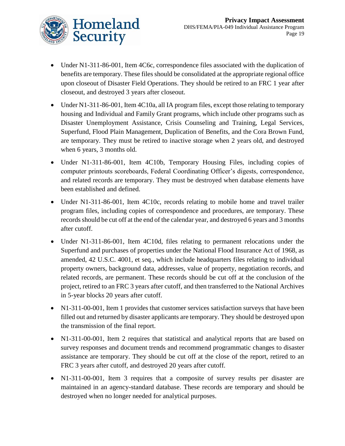

- Under N1-311-86-001, Item 4C6c, correspondence files associated with the duplication of benefits are temporary. These files should be consolidated at the appropriate regional office upon closeout of Disaster Field Operations. They should be retired to an FRC 1 year after closeout, and destroyed 3 years after closeout.
- Under N1-311-86-001, Item 4C10a, all IA program files, except those relating to temporary housing and Individual and Family Grant programs, which include other programs such as Disaster Unemployment Assistance, Crisis Counseling and Training, Legal Services, Superfund, Flood Plain Management, Duplication of Benefits, and the Cora Brown Fund, are temporary. They must be retired to inactive storage when 2 years old, and destroyed when 6 years, 3 months old.
- Under N1-311-86-001, Item 4C10b, Temporary Housing Files, including copies of computer printouts scoreboards, Federal Coordinating Officer's digests, correspondence, and related records are temporary. They must be destroyed when database elements have been established and defined.
- Under N1-311-86-001, Item 4C10c, records relating to mobile home and travel trailer program files, including copies of correspondence and procedures, are temporary. These records should be cut off at the end of the calendar year, and destroyed 6 years and 3 months after cutoff.
- Under N1-311-86-001, Item 4C10d, files relating to permanent relocations under the Superfund and purchases of properties under the National Flood Insurance Act of 1968, as amended, 42 U.S.C. 4001, et seq., which include headquarters files relating to individual property owners, background data, addresses, value of property, negotiation records, and related records, are permanent. These records should be cut off at the conclusion of the project, retired to an FRC 3 years after cutoff, and then transferred to the National Archives in 5-year blocks 20 years after cutoff.
- N1-311-00-001, Item 1 provides that customer services satisfaction surveys that have been filled out and returned by disaster applicants are temporary. They should be destroyed upon the transmission of the final report.
- N1-311-00-001, Item 2 requires that statistical and analytical reports that are based on survey responses and document trends and recommend programmatic changes to disaster assistance are temporary. They should be cut off at the close of the report, retired to an FRC 3 years after cutoff, and destroyed 20 years after cutoff.
- N1-311-00-001, Item 3 requires that a composite of survey results per disaster are maintained in an agency-standard database. These records are temporary and should be destroyed when no longer needed for analytical purposes.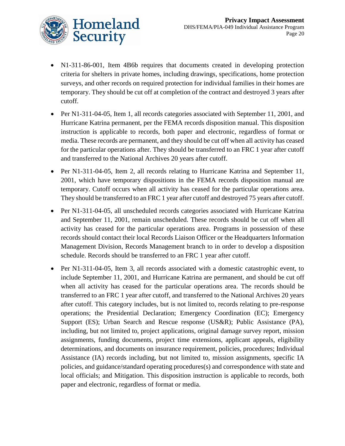

- N1-311-86-001, Item 4B6b requires that documents created in developing protection criteria for shelters in private homes, including drawings, specifications, home protection surveys, and other records on required protection for individual families in their homes are temporary. They should be cut off at completion of the contract and destroyed 3 years after cutoff.
- Per N1-311-04-05, Item 1, all records categories associated with September 11, 2001, and Hurricane Katrina permanent, per the FEMA records disposition manual. This disposition instruction is applicable to records, both paper and electronic, regardless of format or media. These records are permanent, and they should be cut off when all activity has ceased for the particular operations after. They should be transferred to an FRC 1 year after cutoff and transferred to the National Archives 20 years after cutoff.
- Per N1-311-04-05, Item 2, all records relating to Hurricane Katrina and September 11, 2001, which have temporary dispositions in the FEMA records disposition manual are temporary. Cutoff occurs when all activity has ceased for the particular operations area. They should be transferred to an FRC 1 year after cutoff and destroyed 75 years after cutoff.
- Per N1-311-04-05, all unscheduled records categories associated with Hurricane Katrina and September 11, 2001, remain unscheduled. These records should be cut off when all activity has ceased for the particular operations area. Programs in possession of these records should contact their local Records Liaison Officer or the Headquarters Information Management Division, Records Management branch to in order to develop a disposition schedule. Records should be transferred to an FRC 1 year after cutoff.
- Per N1-311-04-05, Item 3, all records associated with a domestic catastrophic event, to include September 11, 2001, and Hurricane Katrina are permanent, and should be cut off when all activity has ceased for the particular operations area. The records should be transferred to an FRC 1 year after cutoff, and transferred to the National Archives 20 years after cutoff. This category includes, but is not limited to, records relating to pre-response operations; the Presidential Declaration; Emergency Coordination (EC); Emergency Support (ES); Urban Search and Rescue response (US&R); Public Assistance (PA), including, but not limited to, project applications, original damage survey report, mission assignments, funding documents, project time extensions, applicant appeals, eligibility determinations, and documents on insurance requirement, policies, procedures; Individual Assistance (IA) records including, but not limited to, mission assignments, specific IA policies, and guidance/standard operating procedures(s) and correspondence with state and local officials; and Mitigation. This disposition instruction is applicable to records, both paper and electronic, regardless of format or media.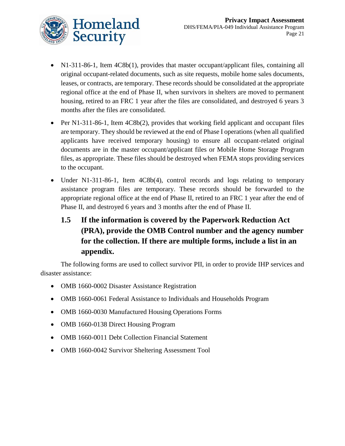

- N1-311-86-1, Item 4C8b(1), provides that master occupant/applicant files, containing all original occupant-related documents, such as site requests, mobile home sales documents, leases, or contracts, are temporary. These records should be consolidated at the appropriate regional office at the end of Phase II, when survivors in shelters are moved to permanent housing, retired to an FRC 1 year after the files are consolidated, and destroyed 6 years 3 months after the files are consolidated.
- Per N1-311-86-1, Item 4C8b(2), provides that working field applicant and occupant files are temporary. They should be reviewed at the end of Phase I operations (when all qualified applicants have received temporary housing) to ensure all occupant-related original documents are in the master occupant/applicant files or Mobile Home Storage Program files, as appropriate. These files should be destroyed when FEMA stops providing services to the occupant.
- Under N1-311-86-1, Item 4C8b(4), control records and logs relating to temporary assistance program files are temporary. These records should be forwarded to the appropriate regional office at the end of Phase II, retired to an FRC 1 year after the end of Phase II, and destroyed 6 years and 3 months after the end of Phase II.

## **1.5 If the information is covered by the Paperwork Reduction Act (PRA), provide the OMB Control number and the agency number for the collection. If there are multiple forms, include a list in an appendix.**

The following forms are used to collect survivor PII, in order to provide IHP services and disaster assistance:

- OMB 1660-0002 Disaster Assistance Registration
- OMB 1660-0061 Federal Assistance to Individuals and Households Program
- OMB 1660-0030 Manufactured Housing Operations Forms
- OMB 1660-0138 Direct Housing Program
- OMB 1660-0011 Debt Collection Financial Statement
- OMB 1660-0042 Survivor Sheltering Assessment Tool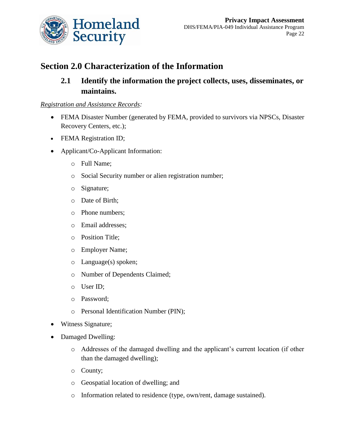

## **Section 2.0 Characterization of the Information**

## **2.1 Identify the information the project collects, uses, disseminates, or maintains.**

### *Registration and Assistance Records:*

- FEMA Disaster Number (generated by FEMA, provided to survivors via NPSCs, Disaster Recovery Centers, etc.);
- FEMA Registration ID;
- Applicant/Co-Applicant Information:
	- o Full Name;
	- o Social Security number or alien registration number;
	- o Signature;
	- o Date of Birth;
	- o Phone numbers;
	- o Email addresses;
	- o Position Title;
	- o Employer Name;
	- o Language(s) spoken;
	- o Number of Dependents Claimed;
	- o User ID;
	- o Password;
	- o Personal Identification Number (PIN);
- Witness Signature;
- Damaged Dwelling:
	- o Addresses of the damaged dwelling and the applicant's current location (if other than the damaged dwelling);
	- o County;
	- o Geospatial location of dwelling; and
	- o Information related to residence (type, own/rent, damage sustained).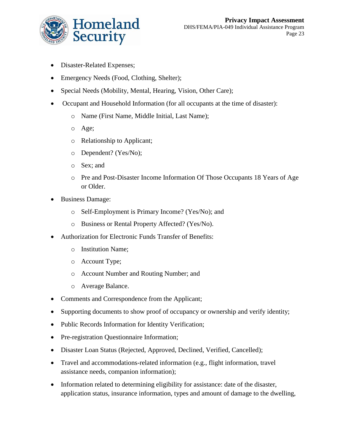

- Disaster-Related Expenses;
- Emergency Needs (Food, Clothing, Shelter);
- Special Needs (Mobility, Mental, Hearing, Vision, Other Care);
- Occupant and Household Information (for all occupants at the time of disaster):
	- o Name (First Name, Middle Initial, Last Name);
	- o Age;
	- o Relationship to Applicant;
	- o Dependent? (Yes/No);
	- o Sex; and
	- o Pre and Post-Disaster Income Information Of Those Occupants 18 Years of Age or Older.
- Business Damage:
	- o Self-Employment is Primary Income? (Yes/No); and
	- o Business or Rental Property Affected? (Yes/No).
- Authorization for Electronic Funds Transfer of Benefits:
	- o Institution Name;
	- o Account Type;
	- o Account Number and Routing Number; and
	- o Average Balance.
- Comments and Correspondence from the Applicant;
- Supporting documents to show proof of occupancy or ownership and verify identity;
- Public Records Information for Identity Verification;
- Pre-registration Questionnaire Information;
- Disaster Loan Status (Rejected, Approved, Declined, Verified, Cancelled);
- Travel and accommodations-related information (e.g., flight information, travel assistance needs, companion information);
- Information related to determining eligibility for assistance: date of the disaster, application status, insurance information, types and amount of damage to the dwelling,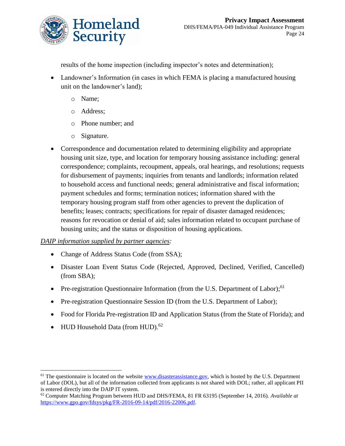

results of the home inspection (including inspector's notes and determination);

- Landowner's Information (in cases in which FEMA is placing a manufactured housing unit on the landowner's land);
	- o Name;
	- o Address;
	- o Phone number; and
	- o Signature.
- Correspondence and documentation related to determining eligibility and appropriate housing unit size, type, and location for temporary housing assistance including: general correspondence; complaints, recoupment, appeals, oral hearings, and resolutions; requests for disbursement of payments; inquiries from tenants and landlords; information related to household access and functional needs; general administrative and fiscal information; payment schedules and forms; termination notices; information shared with the temporary housing program staff from other agencies to prevent the duplication of benefits; leases; contracts; specifications for repair of disaster damaged residences; reasons for revocation or denial of aid; sales information related to occupant purchase of housing units; and the status or disposition of housing applications.

### *DAIP information supplied by partner agencies:*

- Change of Address Status Code (from SSA);
- Disaster Loan Event Status Code (Rejected, Approved, Declined, Verified, Cancelled) (from SBA);
- Pre-registration Questionnaire Information (from the U.S. Department of Labor);<sup>61</sup>
- Pre-registration Questionnaire Session ID (from the U.S. Department of Labor);
- Food for Florida Pre-registration ID and Application Status (from the State of Florida); and
- HUD Household Data (from HUD).<sup>62</sup>

 $\overline{\phantom{a}}$ 

 $<sup>61</sup>$  The questionnaire is located on the website [www.disasterassistance.gov,](http://www.disasterassistance.gov/) which is hosted by the U.S. Department</sup> of Labor (DOL), but all of the information collected from applicants is not shared with DOL; rather, all applicant PII is entered directly into the DAIP IT system.

<sup>62</sup> Computer Matching Program between HUD and DHS/FEMA, 81 FR 63195 (September 14, 2016). *Available at*  [https://www.gpo.gov/fdsys/pkg/FR-2016-09-14/pdf/2016-22006.pdf.](https://www.gpo.gov/fdsys/pkg/FR-2016-09-14/pdf/2016-22006.pdf)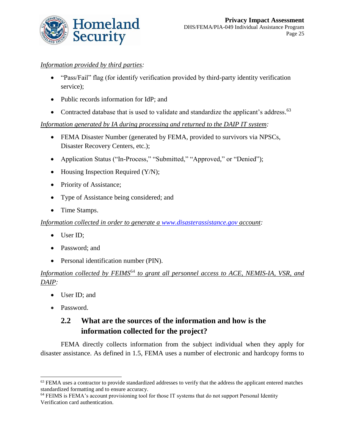

### *Information provided by third parties:*

- "Pass/Fail" flag (for identify verification provided by third-party identity verification service);
- Public records information for IdP; and
- Contracted database that is used to validate and standardize the applicant's address.<sup>63</sup>

*Information generated by IA during processing and returned to the DAIP IT system:* 

- FEMA Disaster Number (generated by FEMA, provided to survivors via NPSCs, Disaster Recovery Centers, etc.);
- Application Status ("In-Process," "Submitted," "Approved," or "Denied");
- Housing Inspection Required (Y/N);
- Priority of Assistance;
- Type of Assistance being considered; and
- Time Stamps.

*Information collected in order to generate a [www.disasterassistance.gov](http://www.disasterassistance.gov/) account:*

- User ID;
- Password; and
- Personal identification number (PIN).

### Information collected by FEIMS<sup>64</sup> to grant all personnel access to ACE, NEMIS-IA, VSR, and *DAIP:*

- User ID; and
- Password.

 $\overline{\phantom{a}}$ 

## **2.2 What are the sources of the information and how is the information collected for the project?**

FEMA directly collects information from the subject individual when they apply for disaster assistance. As defined in 1.5, FEMA uses a number of electronic and hardcopy forms to

<sup>&</sup>lt;sup>63</sup> FEMA uses a contractor to provide standardized addresses to verify that the address the applicant entered matches standardized formatting and to ensure accuracy.

<sup>64</sup> FEIMS is FEMA's account provisioning tool for those IT systems that do not support Personal Identity Verification card authentication.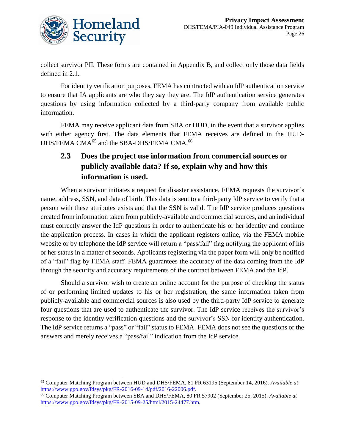

 $\overline{\phantom{a}}$ 

collect survivor PII. These forms are contained in Appendix B, and collect only those data fields defined in 2.1.

For identity verification purposes, FEMA has contracted with an IdP authentication service to ensure that IA applicants are who they say they are. The IdP authentication service generates questions by using information collected by a third-party company from available public information.

FEMA may receive applicant data from SBA or HUD, in the event that a survivor applies with either agency first. The data elements that FEMA receives are defined in the HUD-DHS/FEMA CMA<sup>65</sup> and the SBA-DHS/FEMA CMA.<sup>66</sup>

## **2.3 Does the project use information from commercial sources or publicly available data? If so, explain why and how this information is used.**

When a survivor initiates a request for disaster assistance, FEMA requests the survivor's name, address, SSN, and date of birth. This data is sent to a third-party IdP service to verify that a person with these attributes exists and that the SSN is valid. The IdP service produces questions created from information taken from publicly-available and commercial sources, and an individual must correctly answer the IdP questions in order to authenticate his or her identity and continue the application process. In cases in which the applicant registers online, via the FEMA mobile website or by telephone the IdP service will return a "pass/fail" flag notifying the applicant of his or her status in a matter of seconds. Applicants registering via the paper form will only be notified of a "fail" flag by FEMA staff. FEMA guarantees the accuracy of the data coming from the IdP through the security and accuracy requirements of the contract between FEMA and the IdP.

Should a survivor wish to create an online account for the purpose of checking the status of or performing limited updates to his or her registration, the same information taken from publicly-available and commercial sources is also used by the third-party IdP service to generate four questions that are used to authenticate the survivor. The IdP service receives the survivor's response to the identity verification questions and the survivor's SSN for identity authentication. The IdP service returns a "pass" or "fail" status to FEMA. FEMA does not see the questions or the answers and merely receives a "pass/fail" indication from the IdP service.

<sup>65</sup> Computer Matching Program between HUD and DHS/FEMA, 81 FR 63195 (September 14, 2016). *Available at*  [https://www.gpo.gov/fdsys/pkg/FR-2016-09-14/pdf/2016-22006.pdf.](https://www.gpo.gov/fdsys/pkg/FR-2016-09-14/pdf/2016-22006.pdf)

<sup>66</sup> Computer Matching Program between SBA and DHS/FEMA, 80 FR 57902 (September 25, 2015). *Available at*  [https://www.gpo.gov/fdsys/pkg/FR-2015-09-25/html/2015-24477.htm.](https://www.gpo.gov/fdsys/pkg/FR-2015-09-25/html/2015-24477.htm)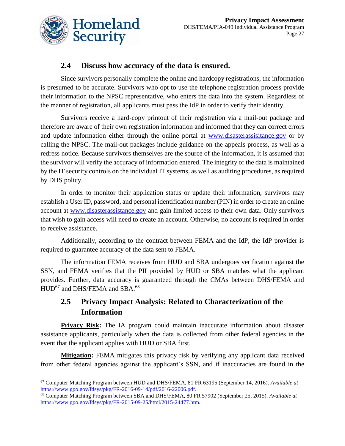

 $\overline{\phantom{a}}$ 

### **2.4 Discuss how accuracy of the data is ensured.**

Since survivors personally complete the online and hardcopy registrations, the information is presumed to be accurate. Survivors who opt to use the telephone registration process provide their information to the NPSC representative, who enters the data into the system. Regardless of the manner of registration, all applicants must pass the IdP in order to verify their identity.

Survivors receive a hard-copy printout of their registration via a mail-out package and therefore are aware of their own registration information and informed that they can correct errors and update information either through the online portal at [www.disasterassisitance.gov](http://www.disasterassisitance.gov/) or by calling the NPSC. The mail-out packages include guidance on the appeals process, as well as a redress notice. Because survivors themselves are the source of the information, it is assumed that the survivor will verify the accuracy of information entered. The integrity of the data is maintained by the IT security controls on the individual IT systems, as well as auditing procedures, as required by DHS policy.

In order to monitor their application status or update their information, survivors may establish a User ID, password, and personal identification number (PIN) in order to create an online account at [www.disasterassistance.gov](file://///dhsnet.ds1.dhs/osem_shares/PRIV/Privacy%20Office/Compliance/PIA/FEMA/Individual%20Assistance-published/www.disasterassistance.gov) and gain limited access to their own data. Only survivors that wish to gain access will need to create an account. Otherwise, no account is required in order to receive assistance.

Additionally, according to the contract between FEMA and the IdP, the IdP provider is required to guarantee accuracy of the data sent to FEMA.

The information FEMA receives from HUD and SBA undergoes verification against the SSN, and FEMA verifies that the PII provided by HUD or SBA matches what the applicant provides. Further, data accuracy is guaranteed through the CMAs between DHS/FEMA and HUD<sup>67</sup> and DHS/FEMA and SBA.<sup>68</sup>

## **2.5 Privacy Impact Analysis: Related to Characterization of the Information**

**Privacy Risk:** The IA program could maintain inaccurate information about disaster assistance applicants, particularly when the data is collected from other federal agencies in the event that the applicant applies with HUD or SBA first.

**Mitigation:** FEMA mitigates this privacy risk by verifying any applicant data received from other federal agencies against the applicant's SSN, and if inaccuracies are found in the

<sup>67</sup> Computer Matching Program between HUD and DHS/FEMA, 81 FR 63195 (September 14, 2016). *Available at*  [https://www.gpo.gov/fdsys/pkg/FR-2016-09-14/pdf/2016-22006.pdf.](https://www.gpo.gov/fdsys/pkg/FR-2016-09-14/pdf/2016-22006.pdf)

<sup>68</sup> Computer Matching Program between SBA and DHS/FEMA, 80 FR 57902 (September 25, 2015). *Available at*  [https://www.gpo.gov/fdsys/pkg/FR-2015-09-25/html/2015-24477.htm.](https://www.gpo.gov/fdsys/pkg/FR-2015-09-25/html/2015-24477.htm)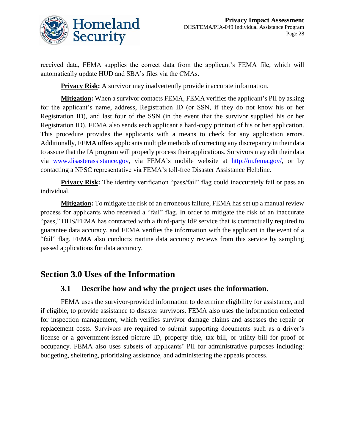

received data, FEMA supplies the correct data from the applicant's FEMA file, which will automatically update HUD and SBA's files via the CMAs.

**Privacy Risk:** A survivor may inadvertently provide inaccurate information.

**Mitigation:** When a survivor contacts FEMA, FEMA verifies the applicant's PII by asking for the applicant's name, address, Registration ID (or SSN, if they do not know his or her Registration ID), and last four of the SSN (in the event that the survivor supplied his or her Registration ID). FEMA also sends each applicant a hard-copy printout of his or her application. This procedure provides the applicants with a means to check for any application errors. Additionally, FEMA offers applicants multiple methods of correcting any discrepancy in their data to assure that the IA program will properly process their applications. Survivors may edit their data via [www.disasterassistance.gov,](http://www.disasterassistance.gov/) via FEMA's mobile website at [http://m.fema.gov/,](http://m.fema.gov/) or by contacting a NPSC representative via FEMA's toll-free Disaster Assistance Helpline.

**Privacy Risk:** The identity verification "pass/fail" flag could inaccurately fail or pass an individual.

**Mitigation:** To mitigate the risk of an erroneous failure, FEMA has set up a manual review process for applicants who received a "fail" flag. In order to mitigate the risk of an inaccurate "pass," DHS/FEMA has contracted with a third-party IdP service that is contractually required to guarantee data accuracy, and FEMA verifies the information with the applicant in the event of a "fail" flag. FEMA also conducts routine data accuracy reviews from this service by sampling passed applications for data accuracy.

## **Section 3.0 Uses of the Information**

### **3.1 Describe how and why the project uses the information.**

FEMA uses the survivor-provided information to determine eligibility for assistance, and if eligible, to provide assistance to disaster survivors. FEMA also uses the information collected for inspection management, which verifies survivor damage claims and assesses the repair or replacement costs. Survivors are required to submit supporting documents such as a driver's license or a government-issued picture ID, property title, tax bill, or utility bill for proof of occupancy. FEMA also uses subsets of applicants' PII for administrative purposes including: budgeting, sheltering, prioritizing assistance, and administering the appeals process.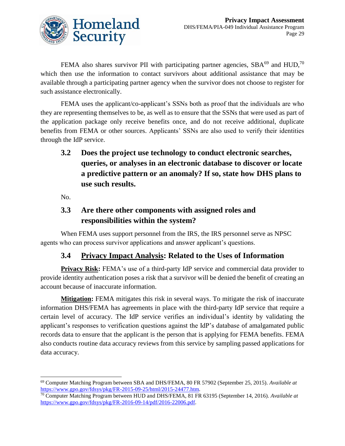

FEMA also shares survivor PII with participating partner agencies,  $SBA^{69}$  and  $HUD$ ,<sup>70</sup> which then use the information to contact survivors about additional assistance that may be available through a participating partner agency when the survivor does not choose to register for such assistance electronically.

FEMA uses the applicant/co-applicant's SSNs both as proof that the individuals are who they are representing themselves to be, as well as to ensure that the SSNs that were used as part of the application package only receive benefits once, and do not receive additional, duplicate benefits from FEMA or other sources. Applicants' SSNs are also used to verify their identities through the IdP service.

**3.2 Does the project use technology to conduct electronic searches, queries, or analyses in an electronic database to discover or locate a predictive pattern or an anomaly? If so, state how DHS plans to use such results.** 

No.

 $\overline{\phantom{a}}$ 

## **3.3 Are there other components with assigned roles and responsibilities within the system?**

When FEMA uses support personnel from the IRS, the IRS personnel serve as NPSC agents who can process survivor applications and answer applicant's questions.

### **3.4 Privacy Impact Analysis: Related to the Uses of Information**

**Privacy Risk:** FEMA's use of a third-party IdP service and commercial data provider to provide identity authentication poses a risk that a survivor will be denied the benefit of creating an account because of inaccurate information.

**Mitigation:** FEMA mitigates this risk in several ways. To mitigate the risk of inaccurate information DHS/FEMA has agreements in place with the third-party IdP service that require a certain level of accuracy. The IdP service verifies an individual's identity by validating the applicant's responses to verification questions against the IdP's database of amalgamated public records data to ensure that the applicant is the person that is applying for FEMA benefits. FEMA also conducts routine data accuracy reviews from this service by sampling passed applications for data accuracy.

<sup>69</sup> Computer Matching Program between SBA and DHS/FEMA, 80 FR 57902 (September 25, 2015). *Available at*  [https://www.gpo.gov/fdsys/pkg/FR-2015-09-25/html/2015-24477.htm.](https://www.gpo.gov/fdsys/pkg/FR-2015-09-25/html/2015-24477.htm) 

<sup>70</sup> Computer Matching Program between HUD and DHS/FEMA, 81 FR 63195 (September 14, 2016). *Available at* [https://www.gpo.gov/fdsys/pkg/FR-2016-09-14/pdf/2016-22006.pdf.](https://www.gpo.gov/fdsys/pkg/FR-2016-09-14/pdf/2016-22006.pdf)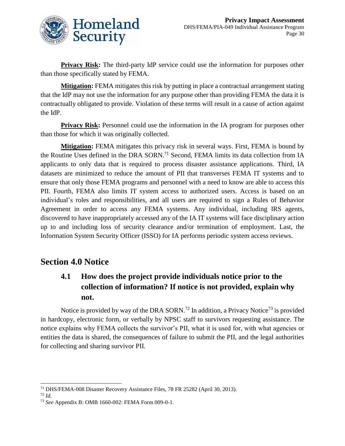

**Privacy Risk:** The third-party IdP service could use the information for purposes other than those specifically stated by FEMA.

**Mitigation:** FEMA mitigates this risk by putting in place a contractual arrangement stating that the IdP may not use the information for any purpose other than providing FEMA the data it is contractually obligated to provide. Violation of these terms will result in a cause of action against the IdP.

**Privacy Risk:** Personnel could use the information in the IA program for purposes other than those for which it was originally collected.

**Mitigation:** FEMA mitigates this privacy risk in several ways. First, FEMA is bound by the Routine Uses defined in the DRA SORN.<sup>71</sup> Second, FEMA limits its data collection from IA applicants to only data that is required to process disaster assistance applications. Third, IA datasets are minimized to reduce the amount of PII that transverses FEMA IT systems and to ensure that only those FEMA programs and personnel with a need to know are able to access this PII. Fourth, FEMA also limits IT system access to authorized users. Access is based on an individual's roles and responsibilities, and all users are required to sign a Rules of Behavior Agreement in order to access any FEMA systems. Any individual, including IRS agents, discovered to have inappropriately accessed any of the IA IT systems will face disciplinary action up to and including loss of security clearance and/or termination of employment. Last, the Information System Security Officer (ISSO) for IA performs periodic system access reviews.

### **Section 4.0 Notice**

## **4.1 How does the project provide individuals notice prior to the collection of information? If notice is not provided, explain why not.**

Notice is provided by way of the DRA SORN.<sup>72</sup> In addition, a Privacy Notice<sup>73</sup> is provided in hardcopy, electronic form, or verbally by NPSC staff to survivors requesting assistance. The notice explains why FEMA collects the survivor's PII, what it is used for, with what agencies or entities the data is shared, the consequences of failure to submit the PII, and the legal authorities for collecting and sharing survivor PII.

l <sup>71</sup> DHS/FEMA-008 Disaster Recovery Assistance Files, 78 FR 25282 (April 30, 2013).

<sup>72</sup> *Id.*

<sup>73</sup> *See* Appendix B: OMB 1660-002: FEMA Form 009-0-1.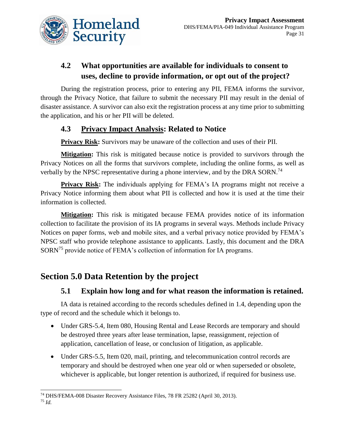

## **4.2 What opportunities are available for individuals to consent to uses, decline to provide information, or opt out of the project?**

During the registration process, prior to entering any PII, FEMA informs the survivor, through the Privacy Notice, that failure to submit the necessary PII may result in the denial of disaster assistance. A survivor can also exit the registration process at any time prior to submitting the application, and his or her PII will be deleted.

### **4.3 Privacy Impact Analysis: Related to Notice**

**Privacy Risk:** Survivors may be unaware of the collection and uses of their PII.

**Mitigation:** This risk is mitigated because notice is provided to survivors through the Privacy Notices on all the forms that survivors complete, including the online forms, as well as verbally by the NPSC representative during a phone interview, and by the DRA SORN.<sup>74</sup>

**Privacy Risk:** The individuals applying for FEMA's IA programs might not receive a Privacy Notice informing them about what PII is collected and how it is used at the time their information is collected.

**Mitigation:** This risk is mitigated because FEMA provides notice of its information collection to facilitate the provision of its IA programs in several ways. Methods include Privacy Notices on paper forms, web and mobile sites, and a verbal privacy notice provided by FEMA's NPSC staff who provide telephone assistance to applicants. Lastly, this document and the DRA SORN<sup>75</sup> provide notice of FEMA's collection of information for IA programs.

## **Section 5.0 Data Retention by the project**

### **5.1 Explain how long and for what reason the information is retained.**

IA data is retained according to the records schedules defined in 1.4, depending upon the type of record and the schedule which it belongs to.

- Under GRS-5.4, Item 080, Housing Rental and Lease Records are temporary and should be destroyed three years after lease termination, lapse, reassignment, rejection of application, cancellation of lease, or conclusion of litigation, as applicable.
- Under GRS-5.5, Item 020, mail, printing, and telecommunication control records are temporary and should be destroyed when one year old or when superseded or obsolete, whichever is applicable, but longer retention is authorized, if required for business use.

 $\overline{a}$ <sup>74</sup> DHS/FEMA-008 Disaster Recovery Assistance Files, 78 FR 25282 (April 30, 2013).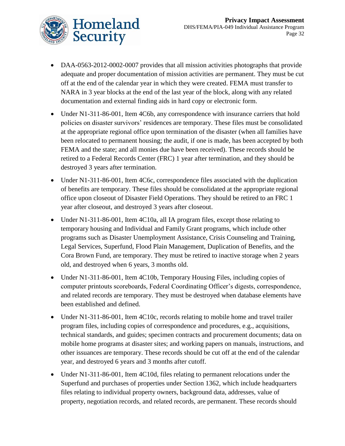

- DAA-0563-2012-0002-0007 provides that all mission activities photographs that provide adequate and proper documentation of mission activities are permanent. They must be cut off at the end of the calendar year in which they were created. FEMA must transfer to NARA in 3 year blocks at the end of the last year of the block, along with any related documentation and external finding aids in hard copy or electronic form.
- Under N1-311-86-001, Item 4C6b, any correspondence with insurance carriers that hold policies on disaster survivors' residences are temporary. These files must be consolidated at the appropriate regional office upon termination of the disaster (when all families have been relocated to permanent housing; the audit, if one is made, has been accepted by both FEMA and the state; and all monies due have been received). These records should be retired to a Federal Records Center (FRC) 1 year after termination, and they should be destroyed 3 years after termination.
- Under N1-311-86-001, Item 4C6c, correspondence files associated with the duplication of benefits are temporary. These files should be consolidated at the appropriate regional office upon closeout of Disaster Field Operations. They should be retired to an FRC 1 year after closeout, and destroyed 3 years after closeout.
- Under N1-311-86-001, Item 4C10a, all IA program files, except those relating to temporary housing and Individual and Family Grant programs, which include other programs such as Disaster Unemployment Assistance, Crisis Counseling and Training, Legal Services, Superfund, Flood Plain Management, Duplication of Benefits, and the Cora Brown Fund, are temporary. They must be retired to inactive storage when 2 years old, and destroyed when 6 years, 3 months old.
- Under N1-311-86-001, Item 4C10b, Temporary Housing Files, including copies of computer printouts scoreboards, Federal Coordinating Officer's digests, correspondence, and related records are temporary. They must be destroyed when database elements have been established and defined.
- Under N1-311-86-001, Item 4C10c, records relating to mobile home and travel trailer program files, including copies of correspondence and procedures, e.g., acquisitions, technical standards, and guides; specimen contracts and procurement documents; data on mobile home programs at disaster sites; and working papers on manuals, instructions, and other issuances are temporary. These records should be cut off at the end of the calendar year, and destroyed 6 years and 3 months after cutoff.
- Under N1-311-86-001, Item 4C10d, files relating to permanent relocations under the Superfund and purchases of properties under Section 1362, which include headquarters files relating to individual property owners, background data, addresses, value of property, negotiation records, and related records, are permanent. These records should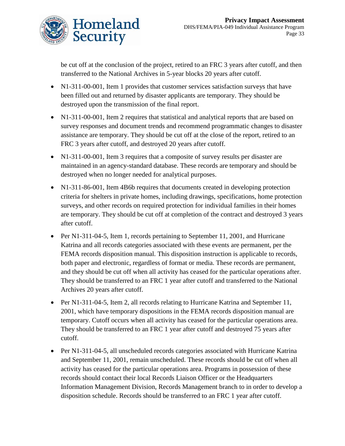

be cut off at the conclusion of the project, retired to an FRC 3 years after cutoff, and then transferred to the National Archives in 5-year blocks 20 years after cutoff.

- N1-311-00-001, Item 1 provides that customer services satisfaction surveys that have been filled out and returned by disaster applicants are temporary. They should be destroyed upon the transmission of the final report.
- N1-311-00-001, Item 2 requires that statistical and analytical reports that are based on survey responses and document trends and recommend programmatic changes to disaster assistance are temporary. They should be cut off at the close of the report, retired to an FRC 3 years after cutoff, and destroyed 20 years after cutoff.
- N1-311-00-001, Item 3 requires that a composite of survey results per disaster are maintained in an agency-standard database. These records are temporary and should be destroyed when no longer needed for analytical purposes.
- N1-311-86-001, Item 4B6b requires that documents created in developing protection criteria for shelters in private homes, including drawings, specifications, home protection surveys, and other records on required protection for individual families in their homes are temporary. They should be cut off at completion of the contract and destroyed 3 years after cutoff.
- Per N1-311-04-5, Item 1, records pertaining to September 11, 2001, and Hurricane Katrina and all records categories associated with these events are permanent, per the FEMA records disposition manual. This disposition instruction is applicable to records, both paper and electronic, regardless of format or media. These records are permanent, and they should be cut off when all activity has ceased for the particular operations after. They should be transferred to an FRC 1 year after cutoff and transferred to the National Archives 20 years after cutoff.
- Per N1-311-04-5, Item 2, all records relating to Hurricane Katrina and September 11, 2001, which have temporary dispositions in the FEMA records disposition manual are temporary. Cutoff occurs when all activity has ceased for the particular operations area. They should be transferred to an FRC 1 year after cutoff and destroyed 75 years after cutoff.
- Per N1-311-04-5, all unscheduled records categories associated with Hurricane Katrina and September 11, 2001, remain unscheduled. These records should be cut off when all activity has ceased for the particular operations area. Programs in possession of these records should contact their local Records Liaison Officer or the Headquarters Information Management Division, Records Management branch to in order to develop a disposition schedule. Records should be transferred to an FRC 1 year after cutoff.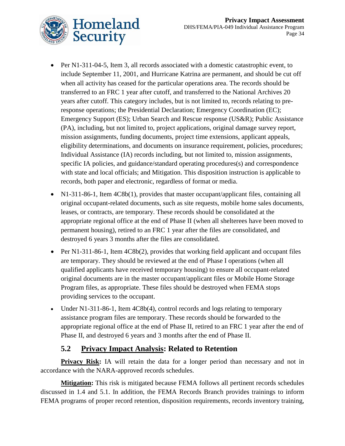

- Per N1-311-04-5, Item 3, all records associated with a domestic catastrophic event, to include September 11, 2001, and Hurricane Katrina are permanent, and should be cut off when all activity has ceased for the particular operations area. The records should be transferred to an FRC 1 year after cutoff, and transferred to the National Archives 20 years after cutoff. This category includes, but is not limited to, records relating to preresponse operations; the Presidential Declaration; Emergency Coordination (EC); Emergency Support (ES); Urban Search and Rescue response (US&R); Public Assistance (PA), including, but not limited to, project applications, original damage survey report, mission assignments, funding documents, project time extensions, applicant appeals, eligibility determinations, and documents on insurance requirement, policies, procedures; Individual Assistance (IA) records including, but not limited to, mission assignments, specific IA policies, and guidance/standard operating procedures(s) and correspondence with state and local officials; and Mitigation. This disposition instruction is applicable to records, both paper and electronic, regardless of format or media.
- N1-311-86-1, Item 4C8b(1), provides that master occupant/applicant files, containing all original occupant-related documents, such as site requests, mobile home sales documents, leases, or contracts, are temporary. These records should be consolidated at the appropriate regional office at the end of Phase II (when all shelterees have been moved to permanent housing), retired to an FRC 1 year after the files are consolidated, and destroyed 6 years 3 months after the files are consolidated.
- Per N1-311-86-1, Item 4C8b(2), provides that working field applicant and occupant files are temporary. They should be reviewed at the end of Phase I operations (when all qualified applicants have received temporary housing) to ensure all occupant-related original documents are in the master occupant/applicant files or Mobile Home Storage Program files, as appropriate. These files should be destroyed when FEMA stops providing services to the occupant.
- Under N1-311-86-1, Item 4C8b(4), control records and logs relating to temporary assistance program files are temporary. These records should be forwarded to the appropriate regional office at the end of Phase II, retired to an FRC 1 year after the end of Phase II, and destroyed 6 years and 3 months after the end of Phase II.

### **5.2 Privacy Impact Analysis: Related to Retention**

**Privacy Risk:** IA will retain the data for a longer period than necessary and not in accordance with the NARA-approved records schedules.

**Mitigation:** This risk is mitigated because FEMA follows all pertinent records schedules discussed in 1.4 and 5.1. In addition, the FEMA Records Branch provides trainings to inform FEMA programs of proper record retention, disposition requirements, records inventory training,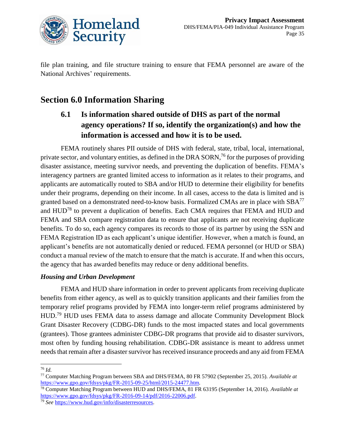

file plan training, and file structure training to ensure that FEMA personnel are aware of the National Archives' requirements.

## **Section 6.0 Information Sharing**

**6.1 Is information shared outside of DHS as part of the normal agency operations? If so, identify the organization(s) and how the information is accessed and how it is to be used.** 

FEMA routinely shares PII outside of DHS with federal, state, tribal, local, international, private sector, and voluntary entities, as defined in the DRA SORN,<sup>76</sup> for the purposes of providing disaster assistance, meeting survivor needs, and preventing the duplication of benefits. FEMA's interagency partners are granted limited access to information as it relates to their programs, and applicants are automatically routed to SBA and/or HUD to determine their eligibility for benefits under their programs, depending on their income. In all cases, access to the data is limited and is granted based on a demonstrated need-to-know basis. Formalized CMAs are in place with SBA<sup>77</sup> and HUD<sup>78</sup> to prevent a duplication of benefits. Each CMA requires that FEMA and HUD and FEMA and SBA compare registration data to ensure that applicants are not receiving duplicate benefits. To do so, each agency compares its records to those of its partner by using the SSN and FEMA Registration ID as each applicant's unique identifier. However, when a match is found, an applicant's benefits are not automatically denied or reduced. FEMA personnel (or HUD or SBA) conduct a manual review of the match to ensure that the match is accurate. If and when this occurs, the agency that has awarded benefits may reduce or deny additional benefits.

### *Housing and Urban Development*

 FEMA and HUD share information in order to prevent applicants from receiving duplicate benefits from either agency, as well as to quickly transition applicants and their families from the temporary relief programs provided by FEMA into longer-term relief programs administered by HUD.<sup>79</sup> HUD uses FEMA data to assess damage and allocate Community Development Block Grant Disaster Recovery (CDBG-DR) funds to the most impacted states and local governments (grantees). Those grantees administer CDBG-DR programs that provide aid to disaster survivors, most often by funding housing rehabilitation. CDBG-DR assistance is meant to address unmet needs that remain after a disaster survivor has received insurance proceeds and any aid from FEMA

 $\overline{a}$ <sup>76</sup> *Id.* 

<sup>77</sup> Computer Matching Program between SBA and DHS/FEMA, 80 FR 57902 (September 25, 2015). *Available at* [https://www.gpo.gov/fdsys/pkg/FR-2015-09-25/html/2015-24477.htm.](https://www.gpo.gov/fdsys/pkg/FR-2015-09-25/html/2015-24477.htm) 

<sup>78</sup> Computer Matching Program between HUD and DHS/FEMA, 81 FR 63195 (September 14, 2016). *Available at* [https://www.gpo.gov/fdsys/pkg/FR-2016-09-14/pdf/2016-22006.pdf.](https://www.gpo.gov/fdsys/pkg/FR-2016-09-14/pdf/2016-22006.pdf)

<sup>79</sup> *See* [https://www.hud.gov/info/disasterresources.](https://www.hud.gov/info/disasterresources)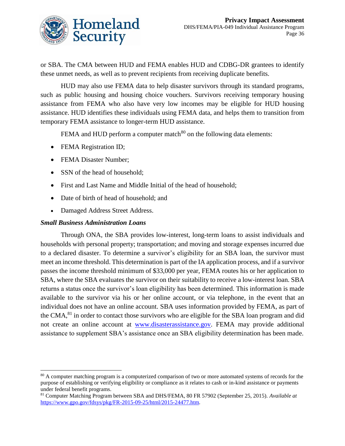

or SBA. The CMA between HUD and FEMA enables HUD and CDBG-DR grantees to identify these unmet needs, as well as to prevent recipients from receiving duplicate benefits.

 HUD may also use FEMA data to help disaster survivors through its standard programs, such as public housing and housing choice vouchers. Survivors receiving temporary housing assistance from FEMA who also have very low incomes may be eligible for HUD housing assistance. HUD identifies these individuals using FEMA data, and helps them to transition from temporary FEMA assistance to longer-term HUD assistance.

FEMA and HUD perform a computer match<sup>80</sup> on the following data elements:

- FEMA Registration ID;
- FEMA Disaster Number;
- SSN of the head of household;
- First and Last Name and Middle Initial of the head of household;
- Date of birth of head of household; and
- Damaged Address Street Address.

#### *Small Business Administration Loans*

 $\overline{\phantom{a}}$ 

Through ONA, the SBA provides low-interest, long-term loans to assist individuals and households with personal property; transportation; and moving and storage expenses incurred due to a declared disaster. To determine a survivor's eligibility for an SBA loan, the survivor must meet an income threshold. This determination is part of the IA application process, and if a survivor passes the income threshold minimum of \$33,000 per year, FEMA routes his or her application to SBA, where the SBA evaluates the survivor on their suitability to receive a low-interest loan. SBA returns a status once the survivor's loan eligibility has been determined. This information is made available to the survivor via his or her online account, or via telephone, in the event that an individual does not have an online account. SBA uses information provided by FEMA, as part of the CMA,<sup>81</sup> in order to contact those survivors who are eligible for the SBA loan program and did not create an online account at [www.disasterassistance.gov.](file://///dhsnet.ds1.dhs/osem_shares/PRIV/Privacy%20Office/Compliance/PIA/FEMA/Individual%20Assistance-published/www.disasterassistance.gov) FEMA may provide additional assistance to supplement SBA's assistance once an SBA eligibility determination has been made.

<sup>&</sup>lt;sup>80</sup> A computer matching program is a computerized comparison of two or more automated systems of records for the purpose of establishing or verifying eligibility or compliance as it relates to cash or in-kind assistance or payments under federal benefit programs.

<sup>81</sup> Computer Matching Program between SBA and DHS/FEMA, 80 FR 57902 (September 25, 2015). *Available at* [https://www.gpo.gov/fdsys/pkg/FR-2015-09-25/html/2015-24477.htm.](https://www.gpo.gov/fdsys/pkg/FR-2015-09-25/html/2015-24477.htm)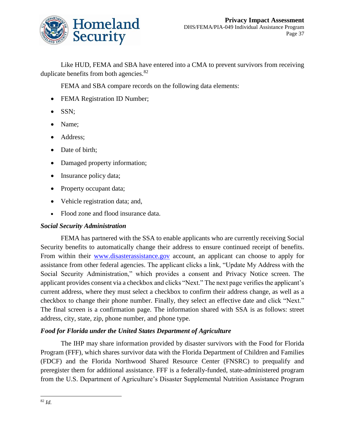

Like HUD, FEMA and SBA have entered into a CMA to prevent survivors from receiving duplicate benefits from both agencies.<sup>82</sup>

FEMA and SBA compare records on the following data elements:

- FEMA Registration ID Number;
- SSN;
- Name;
- Address;
- Date of birth;
- Damaged property information;
- Insurance policy data;
- Property occupant data;
- Vehicle registration data; and,
- Flood zone and flood insurance data.

#### *Social Security Administration*

FEMA has partnered with the SSA to enable applicants who are currently receiving Social Security benefits to automatically change their address to ensure continued receipt of benefits. From within their [www.disasterassistance.gov](file://///dhsnet.ds1.dhs/osem_shares/PRIV/Privacy%20Office/Compliance/PIA/FEMA/Individual%20Assistance-published/www.disasterassistance.gov) account, an applicant can choose to apply for assistance from other federal agencies. The applicant clicks a link, "Update My Address with the Social Security Administration," which provides a consent and Privacy Notice screen. The applicant provides consent via a checkbox and clicks "Next." The next page verifies the applicant's current address, where they must select a checkbox to confirm their address change, as well as a checkbox to change their phone number. Finally, they select an effective date and click "Next." The final screen is a confirmation page. The information shared with SSA is as follows: street address, city, state, zip, phone number, and phone type.

#### *Food for Florida under the United States Department of Agriculture*

The IHP may share information provided by disaster survivors with the Food for Florida Program (FFF), which shares survivor data with the Florida Department of Children and Families (FDCF) and the Florida Northwood Shared Resource Center (FNSRC) to prequalify and preregister them for additional assistance. FFF is a federally-funded, state-administered program from the U.S. Department of Agriculture's Disaster Supplemental Nutrition Assistance Program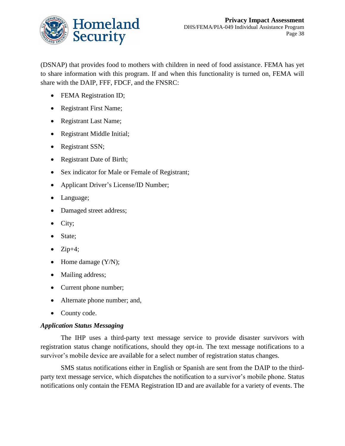

(DSNAP) that provides food to mothers with children in need of food assistance. FEMA has yet to share information with this program. If and when this functionality is turned on, FEMA will share with the DAIP, FFF, FDCF, and the FNSRC:

- FEMA Registration ID;
- Registrant First Name;
- Registrant Last Name;
- Registrant Middle Initial;
- Registrant SSN;
- Registrant Date of Birth;
- Sex indicator for Male or Female of Registrant;
- Applicant Driver's License/ID Number;
- Language;
- Damaged street address;
- $\bullet$  City;
- State;
- $\bullet$  Zip+4;
- $\bullet$  Home damage  $(Y/N)$ ;
- Mailing address;
- Current phone number;
- Alternate phone number; and,
- County code.

#### *Application Status Messaging*

The IHP uses a third-party text message service to provide disaster survivors with registration status change notifications, should they opt-in. The text message notifications to a survivor's mobile device are available for a select number of registration status changes.

SMS status notifications either in English or Spanish are sent from the DAIP to the thirdparty text message service, which dispatches the notification to a survivor's mobile phone. Status notifications only contain the FEMA Registration ID and are available for a variety of events. The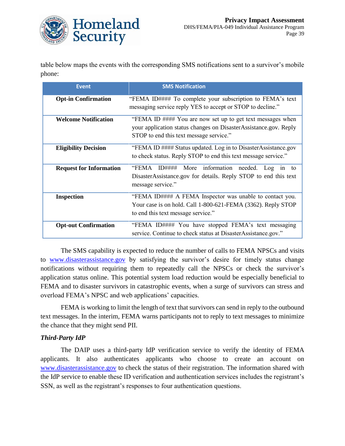

table below maps the events with the corresponding SMS notifications sent to a survivor's mobile phone:

| <b>Event</b>                   | <b>SMS Notification</b>                                                                                                                                                   |
|--------------------------------|---------------------------------------------------------------------------------------------------------------------------------------------------------------------------|
| <b>Opt-in Confirmation</b>     | "FEMA ID#### To complete your subscription to FEMA's text<br>messaging service reply YES to accept or STOP to decline."                                                   |
| <b>Welcome Notification</b>    | "FEMA ID #### You are now set up to get text messages when<br>your application status changes on DisasterAssistance.gov. Reply<br>STOP to end this text message service." |
| <b>Eligibility Decision</b>    | "FEMA ID #### Status updated. Log in to DisasterAssistance.gov<br>to check status. Reply STOP to end this text message service."                                          |
| <b>Request for Information</b> | "FEMA<br>$ID\# \# \# \#$<br>More information<br>needed.<br>$Log$ in<br>to<br>DisasterAssistance.gov for details. Reply STOP to end this text<br>message service."         |
| <b>Inspection</b>              | "FEMA ID#### A FEMA Inspector was unable to contact you.<br>Your case is on hold. Call 1-800-621-FEMA (3362). Reply STOP<br>to end this text message service."            |
| <b>Opt-out Confirmation</b>    | "FEMA ID#### You have stopped FEMA's text messaging<br>service. Continue to check status at DisasterAssistance.gov."                                                      |

The SMS capability is expected to reduce the number of calls to FEMA NPSCs and visits to [www.disasterassistance.gov](http://www.disasterassistance.gov/) by satisfying the survivor's desire for timely status change notifications without requiring them to repeatedly call the NPSCs or check the survivor's application status online. This potential system load reduction would be especially beneficial to FEMA and to disaster survivors in catastrophic events, when a surge of survivors can stress and overload FEMA's NPSC and web applications' capacities.

FEMA is working to limit the length of text that survivors can send in reply to the outbound text messages. In the interim, FEMA warns participants not to reply to text messages to minimize the chance that they might send PII.

#### *Third-Party IdP*

The DAIP uses a third-party IdP verification service to verify the identity of FEMA applicants. It also authenticates applicants who choose to create an account on [www.disasterassistance.gov](http://www.disasterassistance.gov/) to check the status of their registration. The information shared with the IdP service to enable these ID verification and authentication services includes the registrant's SSN, as well as the registrant's responses to four authentication questions.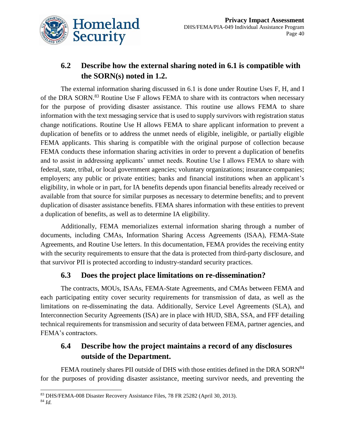

## **6.2 Describe how the external sharing noted in 6.1 is compatible with the SORN(s) noted in 1.2.**

The external information sharing discussed in 6.1 is done under Routine Uses F, H, and I of the DRA SORN.<sup>83</sup> Routine Use F allows FEMA to share with its contractors when necessary for the purpose of providing disaster assistance. This routine use allows FEMA to share information with the text messaging service that is used to supply survivors with registration status change notifications. Routine Use H allows FEMA to share applicant information to prevent a duplication of benefits or to address the unmet needs of eligible, ineligible, or partially eligible FEMA applicants. This sharing is compatible with the original purpose of collection because FEMA conducts these information sharing activities in order to prevent a duplication of benefits and to assist in addressing applicants' unmet needs. Routine Use I allows FEMA to share with federal, state, tribal, or local government agencies; voluntary organizations; insurance companies; employers; any public or private entities; banks and financial institutions when an applicant's eligibility, in whole or in part, for IA benefits depends upon financial benefits already received or available from that source for similar purposes as necessary to determine benefits; and to prevent duplication of disaster assistance benefits. FEMA shares information with these entities to prevent a duplication of benefits, as well as to determine IA eligibility.

Additionally, FEMA memorializes external information sharing through a number of documents, including CMAs, Information Sharing Access Agreements (ISAA), FEMA-State Agreements, and Routine Use letters. In this documentation, FEMA provides the receiving entity with the security requirements to ensure that the data is protected from third-party disclosure, and that survivor PII is protected according to industry-standard security practices.

## **6.3 Does the project place limitations on re-dissemination?**

The contracts, MOUs, ISAAs, FEMA-State Agreements, and CMAs between FEMA and each participating entity cover security requirements for transmission of data, as well as the limitations on re-disseminating the data. Additionally, Service Level Agreements (SLA), and Interconnection Security Agreements (ISA) are in place with HUD, SBA, SSA, and FFF detailing technical requirements for transmission and security of data between FEMA, partner agencies, and FEMA's contractors.

## **6.4 Describe how the project maintains a record of any disclosures outside of the Department.**

FEMA routinely shares PII outside of DHS with those entities defined in the DRA SORN<sup>84</sup> for the purposes of providing disaster assistance, meeting survivor needs, and preventing the

 $\overline{a}$ <sup>83</sup> DHS/FEMA-008 Disaster Recovery Assistance Files, 78 FR 25282 (April 30, 2013).

<sup>84</sup> *Id.*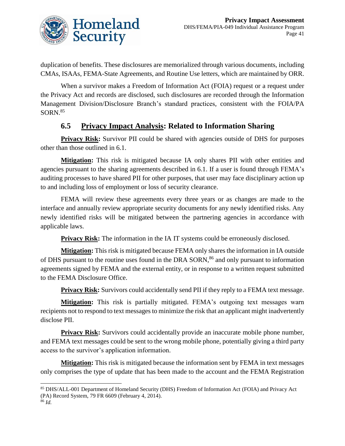

duplication of benefits. These disclosures are memorialized through various documents, including CMAs, ISAAs, FEMA-State Agreements, and Routine Use letters, which are maintained by ORR.

When a survivor makes a Freedom of Information Act (FOIA) request or a request under the Privacy Act and records are disclosed, such disclosures are recorded through the Information Management Division/Disclosure Branch's standard practices, consistent with the FOIA/PA  $SORN<sup>85</sup>$ 

## **6.5 Privacy Impact Analysis: Related to Information Sharing**

**Privacy Risk:** Survivor PII could be shared with agencies outside of DHS for purposes other than those outlined in 6.1.

**Mitigation:** This risk is mitigated because IA only shares PII with other entities and agencies pursuant to the sharing agreements described in 6.1. If a user is found through FEMA's auditing processes to have shared PII for other purposes, that user may face disciplinary action up to and including loss of employment or loss of security clearance.

FEMA will review these agreements every three years or as changes are made to the interface and annually review appropriate security documents for any newly identified risks. Any newly identified risks will be mitigated between the partnering agencies in accordance with applicable laws.

**Privacy Risk:** The information in the IA IT systems could be erroneously disclosed.

**Mitigation:** This risk is mitigated because FEMA only shares the information in IA outside of DHS pursuant to the routine uses found in the DRA SORN,<sup>86</sup> and only pursuant to information agreements signed by FEMA and the external entity, or in response to a written request submitted to the FEMA Disclosure Office.

**Privacy Risk:** Survivors could accidentally send PII if they reply to a FEMA text message.

**Mitigation:** This risk is partially mitigated. FEMA's outgoing text messages warn recipients not to respond to text messages to minimize the risk that an applicant might inadvertently disclose PII.

**Privacy Risk:** Survivors could accidentally provide an inaccurate mobile phone number, and FEMA text messages could be sent to the wrong mobile phone, potentially giving a third party access to the survivor's application information.

**Mitigation:** This risk is mitigated because the information sent by FEMA in text messages only comprises the type of update that has been made to the account and the FEMA Registration

l <sup>85</sup> DHS/ALL-001 Department of Homeland Security (DHS) Freedom of Information Act (FOIA) and Privacy Act (PA) Record System, 79 FR 6609 (February 4, 2014).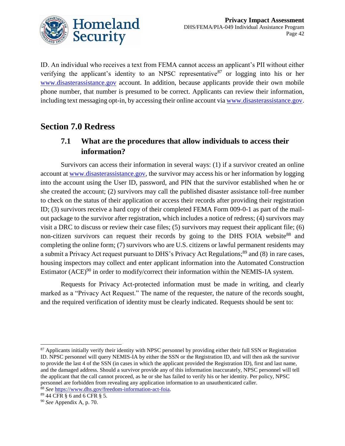

ID. An individual who receives a text from FEMA cannot access an applicant's PII without either verifying the applicant's identity to an NPSC representative<sup>87</sup> or logging into his or her [www.disasterassistance.gov](http://www.disasterassistance.gov/) account. In addition, because applicants provide their own mobile phone number, that number is presumed to be correct. Applicants can review their information, including text messaging opt-in, by accessing their online account via [www.disasterassistance.gov.](file://///dhsnet.ds1.dhs/osem_shares/PRIV/Privacy%20Office/Compliance/PIA/FEMA/Individual%20Assistance-published/www.disasterassistance.gov)

## **Section 7.0 Redress**

## **7.1 What are the procedures that allow individuals to access their information?**

Survivors can access their information in several ways: (1) if a survivor created an online account at [www.disasterassistance.gov,](http://www.disasterassistance.gov/) the survivor may access his or her information by logging into the account using the User ID, password, and PIN that the survivor established when he or she created the account; (2) survivors may call the published disaster assistance toll-free number to check on the status of their application or access their records after providing their registration ID; (3) survivors receive a hard copy of their completed FEMA Form 009-0-1 as part of the mailout package to the survivor after registration, which includes a notice of redress; (4) survivors may visit a DRC to discuss or review their case files; (5) survivors may request their applicant file; (6) non-citizen survivors can request their records by going to the DHS FOIA website<sup>88</sup> and completing the online form; (7) survivors who are U.S. citizens or lawful permanent residents may a submit a Privacy Act request pursuant to DHS's Privacy Act Regulations;<sup>89</sup> and (8) in rare cases, housing inspectors may collect and enter applicant information into the Automated Construction Estimator (ACE)<sup>90</sup> in order to modify/correct their information within the NEMIS-IA system.

Requests for Privacy Act-protected information must be made in writing, and clearly marked as a "Privacy Act Request." The name of the requester, the nature of the records sought, and the required verification of identity must be clearly indicated. Requests should be sent to:

l

<sup>&</sup>lt;sup>87</sup> Applicants initially verify their identity with NPSC personnel by providing either their full SSN or Registration ID. NPSC personnel will query NEMIS-IA by either the SSN or the Registration ID, and will then ask the survivor to provide the last 4 of the SSN (in cases in which the applicant provided the Registration ID), first and last name, and the damaged address. Should a survivor provide any of this information inaccurately, NPSC personnel will tell the applicant that the call cannot proceed, as he or she has failed to verify his or her identity. Per policy, NPSC personnel are forbidden from revealing any application information to an unauthenticated caller. <sup>88</sup> *See* [https://www.dhs.gov/freedom-information-act-foia.](https://www.dhs.gov/freedom-information-act-foia)

<sup>89</sup> 44 CFR § 6 and 6 CFR § 5.

<sup>90</sup> *See* Appendix A, p. 70.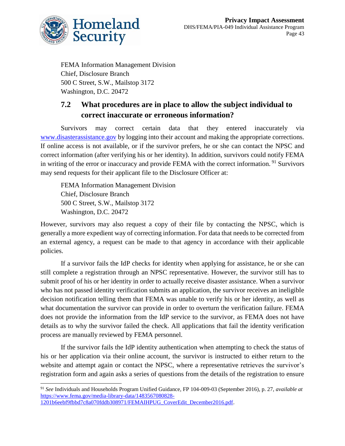

FEMA Information Management Division Chief, Disclosure Branch 500 C Street, S.W., Mailstop 3172 Washington, D.C. 20472

## **7.2 What procedures are in place to allow the subject individual to correct inaccurate or erroneous information?**

Survivors may correct certain data that they entered inaccurately via [www.disasterassistance.gov](http://www.disasterassistance.gov/) by logging into their account and making the appropriate corrections. If online access is not available, or if the survivor prefers, he or she can contact the NPSC and correct information (after verifying his or her identity). In addition, survivors could notify FEMA in writing of the error or inaccuracy and provide FEMA with the correct information.<sup>91</sup> Survivors may send requests for their applicant file to the Disclosure Officer at:

FEMA Information Management Division Chief, Disclosure Branch 500 C Street, S.W., Mailstop 3172 Washington, D.C. 20472

However, survivors may also request a copy of their file by contacting the NPSC, which is generally a more expedient way of correcting information. For data that needs to be corrected from an external agency, a request can be made to that agency in accordance with their applicable policies.

If a survivor fails the IdP checks for identity when applying for assistance, he or she can still complete a registration through an NPSC representative. However, the survivor still has to submit proof of his or her identity in order to actually receive disaster assistance. When a survivor who has not passed identity verification submits an application, the survivor receives an ineligible decision notification telling them that FEMA was unable to verify his or her identity, as well as what documentation the survivor can provide in order to overturn the verification failure. FEMA does not provide the information from the IdP service to the survivor, as FEMA does not have details as to why the survivor failed the check. All applications that fail the identity verification process are manually reviewed by FEMA personnel.

If the survivor fails the IdP identity authentication when attempting to check the status of his or her application via their online account, the survivor is instructed to either return to the website and attempt again or contact the NPSC, where a representative retrieves the survivor's registration form and again asks a series of questions from the details of the registration to ensure

l <sup>91</sup> *See* Individuals and Households Program Unified Guidance, FP 104-009-03 (September 2016), p. 27, *available at*  [https://www.fema.gov/media-library-data/1483567080828-](https://www.fema.gov/media-library-data/1483567080828-1201b6eebf9fbbd7c8a070fddb308971/FEMAIHPUG_CoverEdit_December2016.pdf) [1201b6eebf9fbbd7c8a070fddb308971/FEMAIHPUG\\_CoverEdit\\_December2016.pdf.](https://www.fema.gov/media-library-data/1483567080828-1201b6eebf9fbbd7c8a070fddb308971/FEMAIHPUG_CoverEdit_December2016.pdf)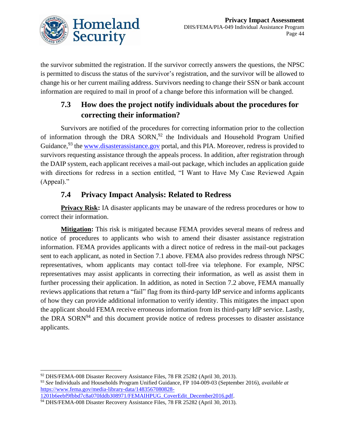

the survivor submitted the registration. If the survivor correctly answers the questions, the NPSC is permitted to discuss the status of the survivor's registration, and the survivor will be allowed to change his or her current mailing address. Survivors needing to change their SSN or bank account information are required to mail in proof of a change before this information will be changed.

## **7.3 How does the project notify individuals about the procedures for correcting their information?**

Survivors are notified of the procedures for correcting information prior to the collection of information through the DRA  $SORN<sub>1</sub><sup>92</sup>$  the Individuals and Household Program Unified Guidance, <sup>93</sup> the [www.disasterassistance.gov](http://www.disasterassistance.gov/) portal, and this PIA. Moreover, redress is provided to survivors requesting assistance through the appeals process. In addition, after registration through the DAIP system, each applicant receives a mail-out package, which includes an application guide with directions for redress in a section entitled, "I Want to Have My Case Reviewed Again (Appeal)."

## **7.4 Privacy Impact Analysis: Related to Redress**

**Privacy Risk:** IA disaster applicants may be unaware of the redress procedures or how to correct their information.

**Mitigation:** This risk is mitigated because FEMA provides several means of redress and notice of procedures to applicants who wish to amend their disaster assistance registration information. FEMA provides applicants with a direct notice of redress in the mail-out packages sent to each applicant, as noted in Section 7.1 above. FEMA also provides redress through NPSC representatives, whom applicants may contact toll-free via telephone. For example, NPSC representatives may assist applicants in correcting their information, as well as assist them in further processing their application. In addition, as noted in Section 7.2 above, FEMA manually reviews applications that return a "fail" flag from its third-party IdP service and informs applicants of how they can provide additional information to verify identity. This mitigates the impact upon the applicant should FEMA receive erroneous information from its third-party IdP service. Lastly, the DRA SORN $94$  and this document provide notice of redress processes to disaster assistance applicants.

 $\overline{\phantom{a}}$ 

[1201b6eebf9fbbd7c8a070fddb308971/FEMAIHPUG\\_CoverEdit\\_December2016.pdf.](https://www.fema.gov/media-library-data/1483567080828-1201b6eebf9fbbd7c8a070fddb308971/FEMAIHPUG_CoverEdit_December2016.pdf)

<sup>92</sup> DHS/FEMA-008 Disaster Recovery Assistance Files, 78 FR 25282 (April 30, 2013).

<sup>93</sup> *See* Individuals and Households Program Unified Guidance, FP 104-009-03 (September 2016), *available at*  [https://www.fema.gov/media-library-data/1483567080828-](https://www.fema.gov/media-library-data/1483567080828-1201b6eebf9fbbd7c8a070fddb308971/FEMAIHPUG_CoverEdit_December2016.pdf)

<sup>94</sup> DHS/FEMA-008 Disaster Recovery Assistance Files, 78 FR 25282 (April 30, 2013).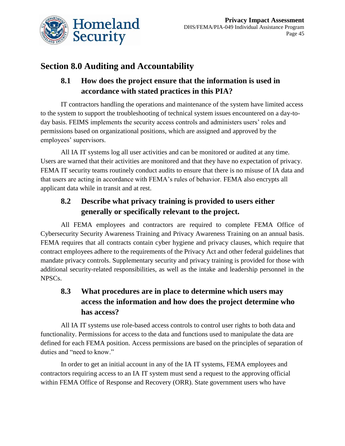

# **Section 8.0 Auditing and Accountability**

# **8.1 How does the project ensure that the information is used in accordance with stated practices in this PIA?**

IT contractors handling the operations and maintenance of the system have limited access to the system to support the troubleshooting of technical system issues encountered on a day-today basis. FEIMS implements the security access controls and administers users' roles and permissions based on organizational positions, which are assigned and approved by the employees' supervisors.

All IA IT systems log all user activities and can be monitored or audited at any time. Users are warned that their activities are monitored and that they have no expectation of privacy. FEMA IT security teams routinely conduct audits to ensure that there is no misuse of IA data and that users are acting in accordance with FEMA's rules of behavior. FEMA also encrypts all applicant data while in transit and at rest.

# **8.2 Describe what privacy training is provided to users either generally or specifically relevant to the project.**

All FEMA employees and contractors are required to complete FEMA Office of Cybersecurity Security Awareness Training and Privacy Awareness Training on an annual basis. FEMA requires that all contracts contain cyber hygiene and privacy clauses, which require that contract employees adhere to the requirements of the Privacy Act and other federal guidelines that mandate privacy controls. Supplementary security and privacy training is provided for those with additional security-related responsibilities, as well as the intake and leadership personnel in the NPSCs.

# **8.3 What procedures are in place to determine which users may access the information and how does the project determine who has access?**

All IA IT systems use role-based access controls to control user rights to both data and functionality. Permissions for access to the data and functions used to manipulate the data are defined for each FEMA position. Access permissions are based on the principles of separation of duties and "need to know."

In order to get an initial account in any of the IA IT systems, FEMA employees and contractors requiring access to an IA IT system must send a request to the approving official within FEMA Office of Response and Recovery (ORR). State government users who have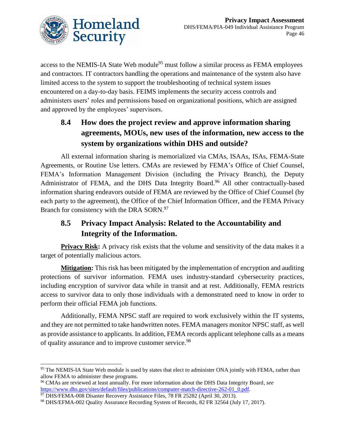

access to the NEMIS-IA State Web module<sup>95</sup> must follow a similar process as FEMA employees and contractors. IT contractors handling the operations and maintenance of the system also have limited access to the system to support the troubleshooting of technical system issues encountered on a day-to-day basis. FEIMS implements the security access controls and administers users' roles and permissions based on organizational positions, which are assigned and approved by the employees' supervisors.

# **8.4 How does the project review and approve information sharing agreements, MOUs, new uses of the information, new access to the system by organizations within DHS and outside?**

All external information sharing is memorialized via CMAs, ISAAs, ISAs, FEMA-State Agreements, or Routine Use letters. CMAs are reviewed by FEMA's Office of Chief Counsel, FEMA's Information Management Division (including the Privacy Branch), the Deputy Administrator of FEMA, and the DHS Data Integrity Board.<sup>96</sup> All other contractually-based information sharing endeavors outside of FEMA are reviewed by the Office of Chief Counsel (by each party to the agreement), the Office of the Chief Information Officer, and the FEMA Privacy Branch for consistency with the DRA SORN.<sup>97</sup>

## **8.5 Privacy Impact Analysis: Related to the Accountability and Integrity of the Information.**

**Privacy Risk:** A privacy risk exists that the volume and sensitivity of the data makes it a target of potentially malicious actors.

**Mitigation:** This risk has been mitigated by the implementation of encryption and auditing protections of survivor information. FEMA uses industry-standard cybersecurity practices, including encryption of survivor data while in transit and at rest. Additionally, FEMA restricts access to survivor data to only those individuals with a demonstrated need to know in order to perform their official FEMA job functions.

Additionally, FEMA NPSC staff are required to work exclusively within the IT systems, and they are not permitted to take handwritten notes. FEMA managers monitor NPSC staff, as well as provide assistance to applicants. In addition, FEMA records applicant telephone calls as a means of quality assurance and to improve customer service.<sup>98</sup>

 $\overline{a}$ 

<sup>&</sup>lt;sup>95</sup> The NEMIS-IA State Web module is used by states that elect to administer ONA jointly with FEMA, rather than allow FEMA to administer these programs.

<sup>96</sup> CMAs are reviewed at least annually. For more information about the DHS Data Integrity Board, *see* [https://www.dhs.gov/sites/default/files/publications/computer-match-directive-262-01\\_0.pdf.](https://www.dhs.gov/sites/default/files/publications/computer-match-directive-262-01_0.pdf)

<sup>&</sup>lt;sup>97</sup> DHS/FEMA-008 Disaster Recovery Assistance Files, 78 FR 25282 (April 30, 2013).

<sup>98</sup> DHS/EFMA-002 Quality Assurance Recording System of Records, 82 FR 32564 (July 17, 2017).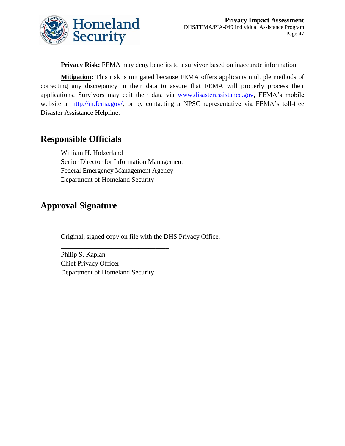

**Privacy Risk:** FEMA may deny benefits to a survivor based on inaccurate information.

**Mitigation:** This risk is mitigated because FEMA offers applicants multiple methods of correcting any discrepancy in their data to assure that FEMA will properly process their applications. Survivors may edit their data via [www.disasterassistance.gov,](http://www.disasterassistance.gov/) FEMA's mobile website at [http://m.fema.gov/,](http://m.fema.gov/) or by contacting a NPSC representative via FEMA's toll-free Disaster Assistance Helpline.

# **Responsible Officials**

William H. Holzerland Senior Director for Information Management Federal Emergency Management Agency Department of Homeland Security

# **Approval Signature**

Original, signed copy on file with the DHS Privacy Office.

Philip S. Kaplan Chief Privacy Officer Department of Homeland Security

\_\_\_\_\_\_\_\_\_\_\_\_\_\_\_\_\_\_\_\_\_\_\_\_\_\_\_\_\_\_\_\_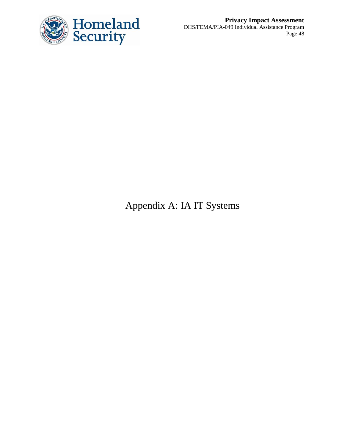

**Privacy Impact Assessment** DHS/FEMA/PIA-049 Individual Assistance Program Page 48

Appendix A: IA IT Systems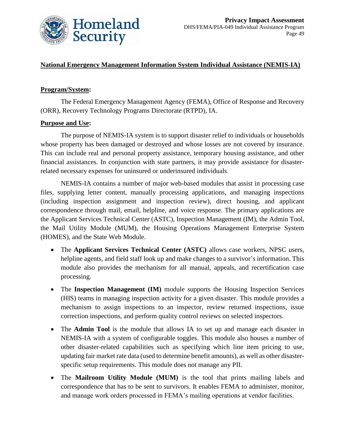

#### **National Emergency Management Information System Individual Assistance (NEMIS-IA)**

#### **Program/System:**

The Federal Emergency Management Agency (FEMA), Office of Response and Recovery (ORR), Recovery Technology Programs Directorate (RTPD), IA.

#### **Purpose and Use:**

The purpose of NEMIS-IA system is to support disaster relief to individuals or households whose property has been damaged or destroyed and whose losses are not covered by insurance. This can include real and personal property assistance, temporary housing assistance, and other financial assistances. In conjunction with state partners, it may provide assistance for disasterrelated necessary expenses for uninsured or underinsured individuals.

NEMIS-IA contains a number of major web-based modules that assist in processing case files, supplying letter content, manually processing applications, and managing inspections (including inspection assignment and inspection review), direct housing, and applicant correspondence through mail, email, helpline, and voice response. The primary applications are the Applicant Services Technical Center (ASTC), Inspection Management (IM), the Admin Tool, the Mail Utility Module (MUM), the Housing Operations Management Enterprise System (HOMES), and the State Web Module.

- The **Applicant Services Technical Center (ASTC)** allows case workers, NPSC users, helpline agents, and field staff look up and make changes to a survivor's information. This module also provides the mechanism for all manual, appeals, and recertification case processing.
- The **Inspection Management (IM)** module supports the Housing Inspection Services (HIS) teams in managing inspection activity for a given disaster. This module provides a mechanism to assign inspections to an inspector, review returned inspections, issue correction inspections, and perform quality control reviews on selected inspectors.
- The **Admin Tool** is the module that allows IA to set up and manage each disaster in NEMIS-IA with a system of configurable toggles. This module also houses a number of other disaster-related capabilities such as specifying which line item pricing to use, updating fair market rate data (used to determine benefit amounts), as well as other disasterspecific setup requirements. This module does not manage any PII.
- The **Mailroom Utility Module (MUM)** is the tool that prints mailing labels and correspondence that has to be sent to survivors. It enables FEMA to administer, monitor, and manage work orders processed in FEMA's mailing operations at vendor facilities.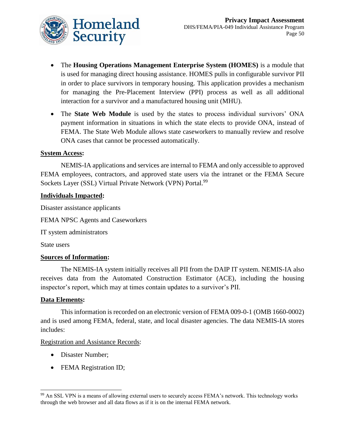

- The **Housing Operations Management Enterprise System (HOMES)** is a module that is used for managing direct housing assistance. HOMES pulls in configurable survivor PII in order to place survivors in temporary housing. This application provides a mechanism for managing the Pre-Placement Interview (PPI) process as well as all additional interaction for a survivor and a manufactured housing unit (MHU).
- The **State Web Module** is used by the states to process individual survivors' ONA payment information in situations in which the state elects to provide ONA, instead of FEMA. The State Web Module allows state caseworkers to manually review and resolve ONA cases that cannot be processed automatically.

#### **System Access:**

NEMIS-IA applications and services are internal to FEMA and only accessible to approved FEMA employees, contractors, and approved state users via the intranet or the FEMA Secure Sockets Layer (SSL) Virtual Private Network (VPN) Portal.<sup>99</sup>

#### **Individuals Impacted:**

Disaster assistance applicants

FEMA NPSC Agents and Caseworkers

IT system administrators

State users

#### **Sources of Information:**

The NEMIS-IA system initially receives all PII from the DAIP IT system. NEMIS-IA also receives data from the Automated Construction Estimator (ACE), including the housing inspector's report, which may at times contain updates to a survivor's PII.

#### **Data Elements:**

 $\overline{a}$ 

This information is recorded on an electronic version of FEMA 009-0-1 (OMB 1660-0002) and is used among FEMA, federal, state, and local disaster agencies. The data NEMIS-IA stores includes:

#### Registration and Assistance Records:

- Disaster Number;
- FEMA Registration ID;

<sup>99</sup> An SSL VPN is a means of allowing external users to securely access FEMA's network. This technology works through the web browser and all data flows as if it is on the internal FEMA network.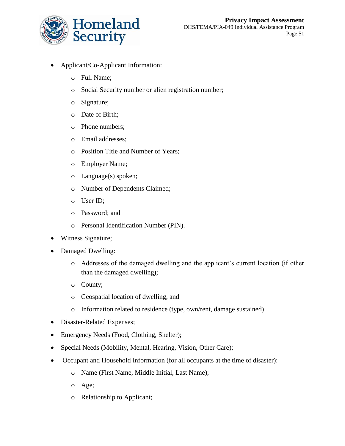

- Applicant/Co-Applicant Information:
	- o Full Name;
	- o Social Security number or alien registration number;
	- o Signature;
	- o Date of Birth;
	- o Phone numbers;
	- o Email addresses;
	- o Position Title and Number of Years;
	- o Employer Name;
	- o Language(s) spoken;
	- o Number of Dependents Claimed;
	- o User ID;
	- o Password; and
	- o Personal Identification Number (PIN).
- Witness Signature;
- Damaged Dwelling:
	- o Addresses of the damaged dwelling and the applicant's current location (if other than the damaged dwelling);
	- o County;
	- o Geospatial location of dwelling, and
	- o Information related to residence (type, own/rent, damage sustained).
- Disaster-Related Expenses;
- Emergency Needs (Food, Clothing, Shelter);
- Special Needs (Mobility, Mental, Hearing, Vision, Other Care);
- Occupant and Household Information (for all occupants at the time of disaster):
	- o Name (First Name, Middle Initial, Last Name);
	- o Age;
	- o Relationship to Applicant;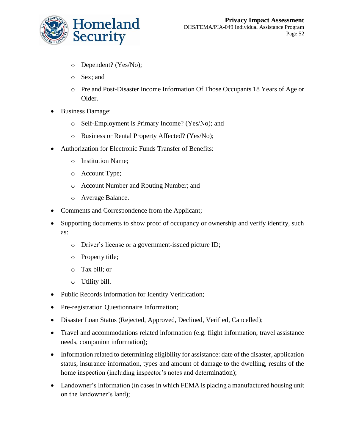

- o Dependent? (Yes/No);
- o Sex; and
- o Pre and Post-Disaster Income Information Of Those Occupants 18 Years of Age or Older.
- Business Damage:
	- o Self-Employment is Primary Income? (Yes/No); and
	- o Business or Rental Property Affected? (Yes/No);
- Authorization for Electronic Funds Transfer of Benefits:
	- o Institution Name;
	- o Account Type;
	- o Account Number and Routing Number; and
	- o Average Balance.
- Comments and Correspondence from the Applicant;
- Supporting documents to show proof of occupancy or ownership and verify identity, such as:
	- o Driver's license or a government-issued picture ID;
	- o Property title;
	- o Tax bill; or
	- o Utility bill.
- Public Records Information for Identity Verification;
- Pre-registration Questionnaire Information;
- Disaster Loan Status (Rejected, Approved, Declined, Verified, Cancelled);
- Travel and accommodations related information (e.g. flight information, travel assistance needs, companion information);
- Information related to determining eligibility for assistance: date of the disaster, application status, insurance information, types and amount of damage to the dwelling, results of the home inspection (including inspector's notes and determination);
- Landowner's Information (in cases in which FEMA is placing a manufactured housing unit on the landowner's land);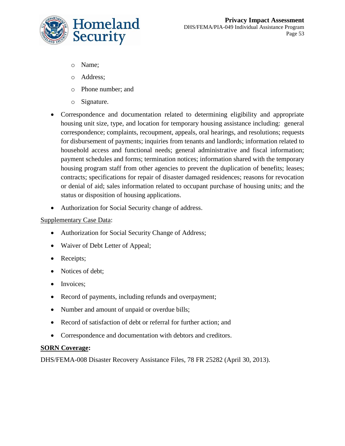

- o Name;
- o Address;
- o Phone number; and
- o Signature.
- Correspondence and documentation related to determining eligibility and appropriate housing unit size, type, and location for temporary housing assistance including: general correspondence; complaints, recoupment, appeals, oral hearings, and resolutions; requests for disbursement of payments; inquiries from tenants and landlords; information related to household access and functional needs; general administrative and fiscal information; payment schedules and forms; termination notices; information shared with the temporary housing program staff from other agencies to prevent the duplication of benefits; leases; contracts; specifications for repair of disaster damaged residences; reasons for revocation or denial of aid; sales information related to occupant purchase of housing units; and the status or disposition of housing applications.
- Authorization for Social Security change of address.

### Supplementary Case Data:

- Authorization for Social Security Change of Address;
- Waiver of Debt Letter of Appeal;
- Receipts;
- Notices of debt;
- Invoices;
- Record of payments, including refunds and overpayment;
- Number and amount of unpaid or overdue bills;
- Record of satisfaction of debt or referral for further action; and
- Correspondence and documentation with debtors and creditors.

## **SORN Coverage:**

DHS/FEMA-008 Disaster Recovery Assistance Files, 78 FR 25282 (April 30, 2013).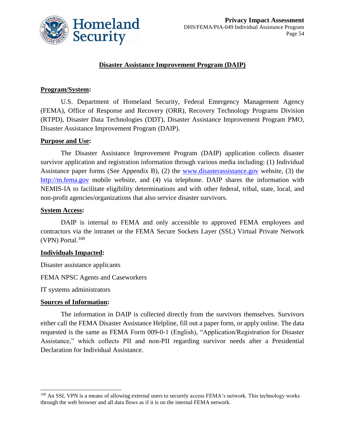

#### **Disaster Assistance Improvement Program (DAIP)**

#### **Program/System:**

U.S. Department of Homeland Security, Federal Emergency Management Agency (FEMA), Office of Response and Recovery (ORR), Recovery Technology Programs Division (RTPD), Disaster Data Technologies (DDT), Disaster Assistance Improvement Program PMO, Disaster Assistance Improvement Program (DAIP).

#### **Purpose and Use:**

The Disaster Assistance Improvement Program (DAIP) application collects disaster survivor application and registration information through various media including: (1) Individual Assistance paper forms (See Appendix B), (2) the [www.disasterassistance.gov](http://www.disasterassistance.gov/) website, (3) the [http://m.fema.gov](http://m.fema.gov/) mobile website, and (4) via telephone. DAIP shares the information with NEMIS-IA to facilitate eligibility determinations and with other federal, tribal, state, local, and non-profit agencies/organizations that also service disaster survivors.

#### **System Access:**

DAIP is internal to FEMA and only accessible to approved FEMA employees and contractors via the intranet or the FEMA Secure Sockets Layer (SSL) Virtual Private Network  $(VPN)$  Portal.<sup>100</sup>

#### **Individuals Impacted:**

Disaster assistance applicants

FEMA NPSC Agents and Caseworkers

IT systems administrators

#### **Sources of Information:**

 $\overline{a}$ 

The information in DAIP is collected directly from the survivors themselves. Survivors either call the FEMA Disaster Assistance Helpline, fill out a paper form, or apply online. The data requested is the same as FEMA Form 009-0-1 (English), "Application/Registration for Disaster Assistance," which collects PII and non-PII regarding survivor needs after a Presidential Declaration for Individual Assistance.

<sup>&</sup>lt;sup>100</sup> An SSL VPN is a means of allowing external users to securely access FEMA's network. This technology works through the web browser and all data flows as if it is on the internal FEMA network.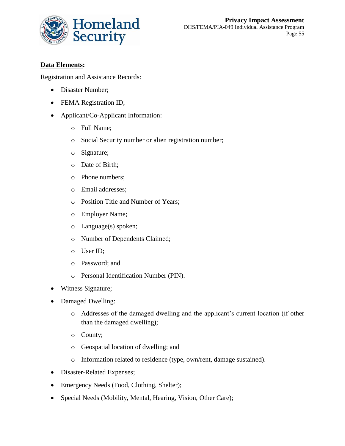

### **Data Elements:**

#### Registration and Assistance Records:

- Disaster Number;
- FEMA Registration ID;
- Applicant/Co-Applicant Information:
	- o Full Name;
	- o Social Security number or alien registration number;
	- o Signature;
	- o Date of Birth;
	- o Phone numbers;
	- o Email addresses;
	- o Position Title and Number of Years;
	- o Employer Name;
	- o Language(s) spoken;
	- o Number of Dependents Claimed;
	- o User ID;
	- o Password; and
	- o Personal Identification Number (PIN).
- Witness Signature;
- Damaged Dwelling:
	- o Addresses of the damaged dwelling and the applicant's current location (if other than the damaged dwelling);
	- o County;
	- o Geospatial location of dwelling; and
	- o Information related to residence (type, own/rent, damage sustained).
- Disaster-Related Expenses;
- Emergency Needs (Food, Clothing, Shelter);
- Special Needs (Mobility, Mental, Hearing, Vision, Other Care);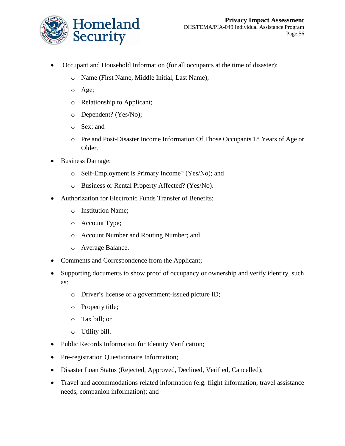

- Occupant and Household Information (for all occupants at the time of disaster):
	- o Name (First Name, Middle Initial, Last Name);
	- o Age;
	- o Relationship to Applicant;
	- o Dependent? (Yes/No);
	- o Sex; and
	- o Pre and Post-Disaster Income Information Of Those Occupants 18 Years of Age or Older.
- Business Damage:
	- o Self-Employment is Primary Income? (Yes/No); and
	- o Business or Rental Property Affected? (Yes/No).
- Authorization for Electronic Funds Transfer of Benefits:
	- o Institution Name;
	- o Account Type;
	- o Account Number and Routing Number; and
	- o Average Balance.
- Comments and Correspondence from the Applicant;
- Supporting documents to show proof of occupancy or ownership and verify identity, such as:
	- o Driver's license or a government-issued picture ID;
	- o Property title;
	- o Tax bill; or
	- o Utility bill.
- Public Records Information for Identity Verification;
- Pre-registration Questionnaire Information;
- Disaster Loan Status (Rejected, Approved, Declined, Verified, Cancelled);
- Travel and accommodations related information (e.g. flight information, travel assistance needs, companion information); and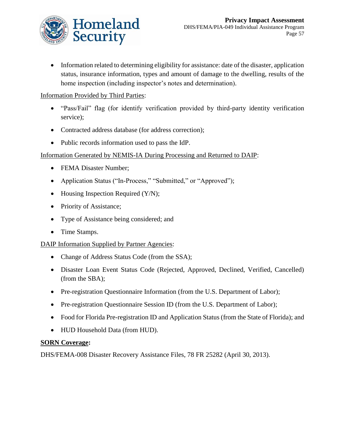

 Information related to determining eligibility for assistance: date of the disaster, application status, insurance information, types and amount of damage to the dwelling, results of the home inspection (including inspector's notes and determination).

### Information Provided by Third Parties:

- "Pass/Fail" flag (for identify verification provided by third-party identity verification service);
- Contracted address database (for address correction);
- Public records information used to pass the IdP.

## Information Generated by NEMIS-IA During Processing and Returned to DAIP:

- FEMA Disaster Number:
- Application Status ("In-Process," "Submitted," or "Approved");
- $\bullet$  Housing Inspection Required (Y/N);
- Priority of Assistance;
- Type of Assistance being considered; and
- Time Stamps.

## DAIP Information Supplied by Partner Agencies:

- Change of Address Status Code (from the SSA);
- Disaster Loan Event Status Code (Rejected, Approved, Declined, Verified, Cancelled) (from the SBA);
- Pre-registration Questionnaire Information (from the U.S. Department of Labor);
- Pre-registration Questionnaire Session ID (from the U.S. Department of Labor);
- Food for Florida Pre-registration ID and Application Status (from the State of Florida); and
- HUD Household Data (from HUD).

#### **SORN Coverage:**

DHS/FEMA-008 Disaster Recovery Assistance Files, 78 FR 25282 (April 30, 2013).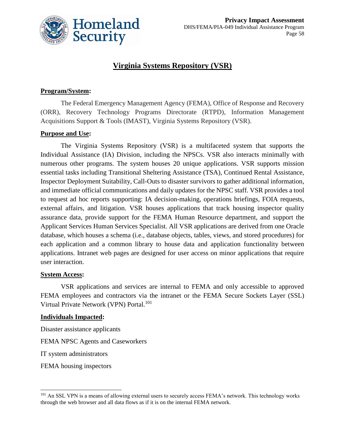

## **Virginia Systems Repository (VSR)**

#### **Program/System:**

The Federal Emergency Management Agency (FEMA), Office of Response and Recovery (ORR), Recovery Technology Programs Directorate (RTPD), Information Management Acquisitions Support & Tools (IMAST), Virginia Systems Repository (VSR).

#### **Purpose and Use:**

The Virginia Systems Repository (VSR) is a multifaceted system that supports the Individual Assistance (IA) Division, including the NPSCs. VSR also interacts minimally with numerous other programs. The system houses 20 unique applications. VSR supports mission essential tasks including Transitional Sheltering Assistance (TSA), Continued Rental Assistance, Inspector Deployment Suitability, Call-Outs to disaster survivors to gather additional information, and immediate official communications and daily updates for the NPSC staff. VSR provides a tool to request ad hoc reports supporting: IA decision-making, operations briefings, FOIA requests, external affairs, and litigation. VSR houses applications that track housing inspector quality assurance data, provide support for the FEMA Human Resource department, and support the Applicant Services Human Services Specialist. All VSR applications are derived from one Oracle database, which houses a schema (i.e., database objects, tables, views, and stored procedures) for each application and a common library to house data and application functionality between applications. Intranet web pages are designed for user access on minor applications that require user interaction.

#### **System Access:**

VSR applications and services are internal to FEMA and only accessible to approved FEMA employees and contractors via the intranet or the FEMA Secure Sockets Layer (SSL) Virtual Private Network (VPN) Portal.<sup>101</sup>

#### **Individuals Impacted:**

Disaster assistance applicants

FEMA NPSC Agents and Caseworkers

IT system administrators

FEMA housing inspectors

 $\overline{a}$ 

<sup>&</sup>lt;sup>101</sup> An SSL VPN is a means of allowing external users to securely access FEMA's network. This technology works through the web browser and all data flows as if it is on the internal FEMA network.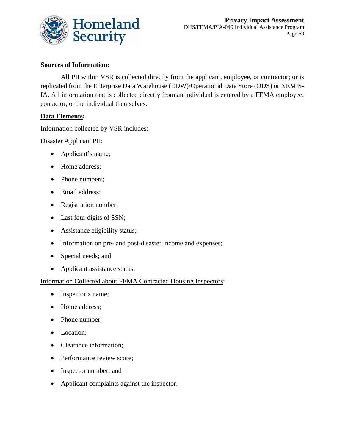

### **Sources of Information:**

All PII within VSR is collected directly from the applicant, employee, or contractor; or is replicated from the Enterprise Data Warehouse (EDW)/Operational Data Store (ODS) or NEMIS-IA. All information that is collected directly from an individual is entered by a FEMA employee, contactor, or the individual themselves.

#### **Data Elements:**

Information collected by VSR includes:

Disaster Applicant PII:

- Applicant's name;
- Home address;
- Phone numbers;
- Email address;
- Registration number;
- Last four digits of SSN;
- Assistance eligibility status;
- Information on pre- and post-disaster income and expenses;
- Special needs; and
- Applicant assistance status.

#### Information Collected about FEMA Contracted Housing Inspectors:

- Inspector's name;
- Home address;
- Phone number;
- Location;
- Clearance information;
- Performance review score;
- Inspector number; and
- Applicant complaints against the inspector.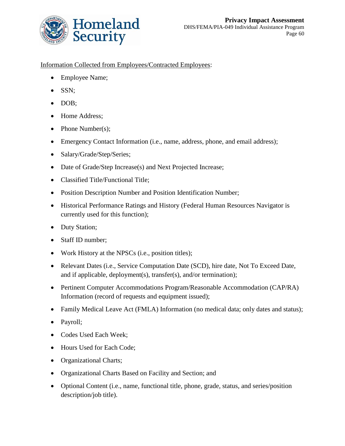

### Information Collected from Employees/Contracted Employees:

- Employee Name;
- SSN;
- DOB;
- Home Address;
- $\bullet$  Phone Number(s);
- Emergency Contact Information (i.e., name, address, phone, and email address);
- Salary/Grade/Step/Series;
- Date of Grade/Step Increase(s) and Next Projected Increase;
- Classified Title/Functional Title;
- Position Description Number and Position Identification Number;
- Historical Performance Ratings and History (Federal Human Resources Navigator is currently used for this function);
- Duty Station;
- Staff ID number;
- Work History at the NPSCs (i.e., position titles);
- Relevant Dates (i.e., Service Computation Date (SCD), hire date, Not To Exceed Date, and if applicable, deployment(s), transfer(s), and/or termination);
- Pertinent Computer Accommodations Program/Reasonable Accommodation (CAP/RA) Information (record of requests and equipment issued);
- Family Medical Leave Act (FMLA) Information (no medical data; only dates and status);
- Payroll;
- Codes Used Each Week;
- Hours Used for Each Code;
- Organizational Charts;
- Organizational Charts Based on Facility and Section; and
- Optional Content (i.e., name, functional title, phone, grade, status, and series/position description/job title).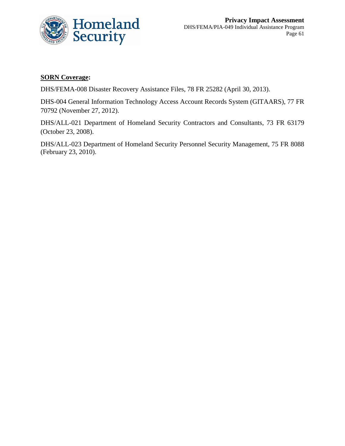

### **SORN Coverage:**

DHS/FEMA-008 Disaster Recovery Assistance Files, 78 FR 25282 (April 30, 2013).

DHS-004 General Information Technology Access Account Records System (GITAARS), 77 FR 70792 (November 27, 2012).

DHS/ALL-021 Department of Homeland Security Contractors and Consultants, 73 FR 63179 (October 23, 2008).

DHS/ALL-023 Department of Homeland Security Personnel Security Management, 75 FR 8088 (February 23, 2010).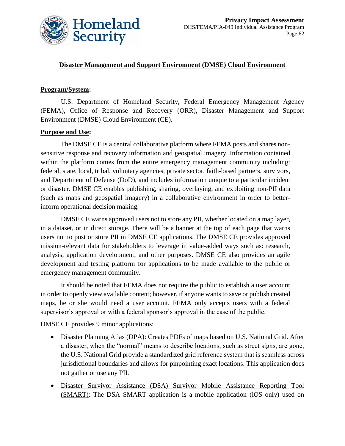

#### **Disaster Management and Support Environment (DMSE) Cloud Environment**

#### **Program/System:**

U.S. Department of Homeland Security, Federal Emergency Management Agency (FEMA), Office of Response and Recovery (ORR), Disaster Management and Support Environment (DMSE) Cloud Environment (CE).

#### **Purpose and Use:**

The DMSE CE is a central collaborative platform where FEMA posts and shares nonsensitive response and recovery information and geospatial imagery. Information contained within the platform comes from the entire emergency management community including: federal, state, local, tribal, voluntary agencies, private sector, faith-based partners, survivors, and Department of Defense (DoD), and includes information unique to a particular incident or disaster. DMSE CE enables publishing, sharing, overlaying, and exploiting non-PII data (such as maps and geospatial imagery) in a collaborative environment in order to betterinform operational decision making.

DMSE CE warns approved users not to store any PII, whether located on a map layer, in a dataset, or in direct storage. There will be a banner at the top of each page that warns users not to post or store PII in DMSE CE applications. The DMSE CE provides approved mission-relevant data for stakeholders to leverage in value-added ways such as: research, analysis, application development, and other purposes. DMSE CE also provides an agile development and testing platform for applications to be made available to the public or emergency management community.

It should be noted that FEMA does not require the public to establish a user account in order to openly view available content; however, if anyone wants to save or publish created maps, he or she would need a user account. FEMA only accepts users with a federal supervisor's approval or with a federal sponsor's approval in the case of the public.

DMSE CE provides 9 minor applications:

- Disaster Planning Atlas (DPA): Creates PDFs of maps based on U.S. National Grid. After a disaster, when the "normal" means to describe locations, such as street signs, are gone, the U.S. National Grid provide a standardized grid reference system that is seamless across jurisdictional boundaries and allows for pinpointing exact locations. This application does not gather or use any PII.
- Disaster Survivor Assistance (DSA) Survivor Mobile Assistance Reporting Tool (SMART): The DSA SMART application is a mobile application (iOS only) used on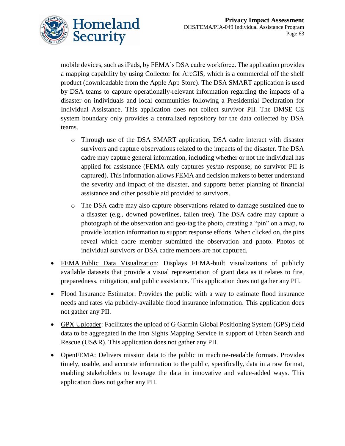

mobile devices, such as iPads, by FEMA's DSA cadre workforce. The application provides a mapping capability by using Collector for ArcGIS, which is a commercial off the shelf product (downloadable from the Apple App Store). The DSA SMART application is used by DSA teams to capture operationally-relevant information regarding the impacts of a disaster on individuals and local communities following a Presidential Declaration for Individual Assistance. This application does not collect survivor PII. The DMSE CE system boundary only provides a centralized repository for the data collected by DSA teams.

- o Through use of the DSA SMART application, DSA cadre interact with disaster survivors and capture observations related to the impacts of the disaster. The DSA cadre may capture general information, including whether or not the individual has applied for assistance (FEMA only captures yes/no response; no survivor PII is captured). This information allows FEMA and decision makers to better understand the severity and impact of the disaster, and supports better planning of financial assistance and other possible aid provided to survivors.
- o The DSA cadre may also capture observations related to damage sustained due to a disaster (e.g., downed powerlines, fallen tree). The DSA cadre may capture a photograph of the observation and geo-tag the photo, creating a "pin" on a map, to provide location information to support response efforts. When clicked on, the pins reveal which cadre member submitted the observation and photo. Photos of individual survivors or DSA cadre members are not captured.
- FEMA Public Data Visualization: Displays FEMA-built visualizations of publicly available datasets that provide a visual representation of grant data as it relates to fire, preparedness, mitigation, and public assistance. This application does not gather any PII.
- Flood Insurance Estimator: Provides the public with a way to estimate flood insurance needs and rates via publicly-available flood insurance information. This application does not gather any PII.
- GPX Uploader: Facilitates the upload of G Garmin Global Positioning System (GPS) field data to be aggregated in the Iron Sights Mapping Service in support of Urban Search and Rescue (US&R). This application does not gather any PII.
- OpenFEMA: Delivers mission data to the public in machine-readable formats. Provides timely, usable, and accurate information to the public, specifically, data in a raw format, enabling stakeholders to leverage the data in innovative and value-added ways. This application does not gather any PII.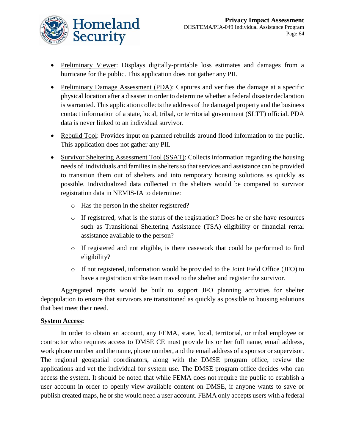

- Preliminary Viewer: Displays digitally-printable loss estimates and damages from a hurricane for the public. This application does not gather any PII.
- Preliminary Damage Assessment (PDA): Captures and verifies the damage at a specific physical location after a disaster in order to determine whether a federal disaster declaration is warranted. This application collects the address of the damaged property and the business contact information of a state, local, tribal, or territorial government (SLTT) official. PDA data is never linked to an individual survivor.
- Rebuild Tool: Provides input on planned rebuilds around flood information to the public. This application does not gather any PII.
- Survivor Sheltering Assessment Tool (SSAT): Collects information regarding the housing needs of individuals and families in shelters so that services and assistance can be provided to transition them out of shelters and into temporary housing solutions as quickly as possible. Individualized data collected in the shelters would be compared to survivor registration data in NEMIS-IA to determine:
	- o Has the person in the shelter registered?
	- o If registered, what is the status of the registration? Does he or she have resources such as Transitional Sheltering Assistance (TSA) eligibility or financial rental assistance available to the person?
	- o If registered and not eligible, is there casework that could be performed to find eligibility?
	- o If not registered, information would be provided to the Joint Field Office (JFO) to have a registration strike team travel to the shelter and register the survivor.

Aggregated reports would be built to support JFO planning activities for shelter depopulation to ensure that survivors are transitioned as quickly as possible to housing solutions that best meet their need.

#### **System Access:**

In order to obtain an account, any FEMA, state, local, territorial, or tribal employee or contractor who requires access to DMSE CE must provide his or her full name, email address, work phone number and the name, phone number, and the email address of a sponsor or supervisor. The regional geospatial coordinators, along with the DMSE program office, review the applications and vet the individual for system use. The DMSE program office decides who can access the system. It should be noted that while FEMA does not require the public to establish a user account in order to openly view available content on DMSE, if anyone wants to save or publish created maps, he or she would need a user account. FEMA only accepts users with a federal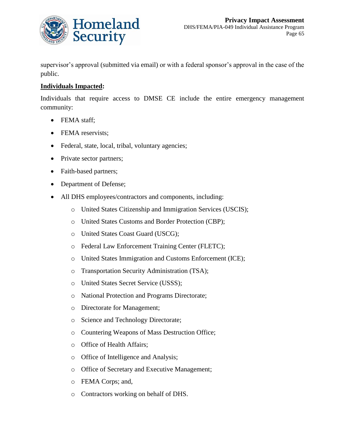

supervisor's approval (submitted via email) or with a federal sponsor's approval in the case of the public.

### **Individuals Impacted:**

Individuals that require access to DMSE CE include the entire emergency management community:

- FEMA staff;
- FEMA reservists;
- Federal, state, local, tribal, voluntary agencies;
- Private sector partners;
- Faith-based partners;
- Department of Defense;
- All DHS employees/contractors and components, including:
	- o United States Citizenship and Immigration Services (USCIS);
	- o United States Customs and Border Protection (CBP);
	- o United States Coast Guard (USCG);
	- o Federal Law Enforcement Training Center (FLETC);
	- o United States Immigration and Customs Enforcement (ICE);
	- o Transportation Security Administration (TSA);
	- o United States Secret Service (USSS);
	- o National Protection and Programs Directorate;
	- o Directorate for Management;
	- o Science and Technology Directorate;
	- o Countering Weapons of Mass Destruction Office;
	- o Office of Health Affairs;
	- o Office of Intelligence and Analysis;
	- o Office of Secretary and Executive Management;
	- o FEMA Corps; and,
	- o Contractors working on behalf of DHS.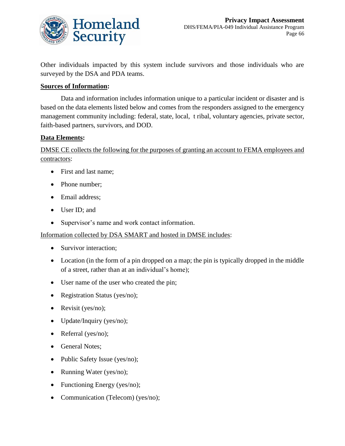

Other individuals impacted by this system include survivors and those individuals who are surveyed by the DSA and PDA teams.

#### **Sources of Information:**

Data and information includes information unique to a particular incident or disaster and is based on the data elements listed below and comes from the responders assigned to the emergency management community including: federal, state, local, t ribal, voluntary agencies, private sector, faith-based partners, survivors, and DOD.

#### **Data Elements:**

DMSE CE collects the following for the purposes of granting an account to FEMA employees and contractors:

- First and last name:
- Phone number;
- Email address;
- User ID; and
- Supervisor's name and work contact information.

Information collected by DSA SMART and hosted in DMSE includes:

- Survivor interaction;
- Location (in the form of a pin dropped on a map; the pin is typically dropped in the middle of a street, rather than at an individual's home);
- User name of the user who created the pin;
- Registration Status (yes/no);
- Revisit (yes/no);
- Update/Inquiry (yes/no);
- Referral (yes/no);
- General Notes:
- Public Safety Issue (yes/no);
- Running Water (yes/no);
- Functioning Energy (yes/no);
- Communication (Telecom) (yes/no);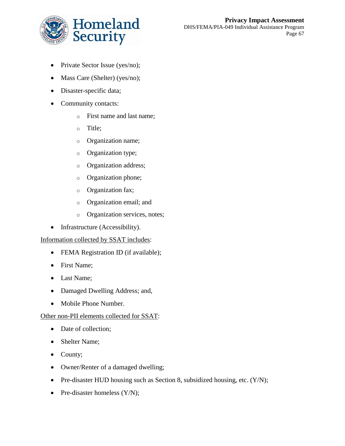

- Private Sector Issue (yes/no);
- Mass Care (Shelter) (yes/no);
- Disaster-specific data;
- Community contacts:
	- o First name and last name;
	- o Title;
	- o Organization name;
	- o Organization type;
	- o Organization address;
	- o Organization phone;
	- o Organization fax;
	- o Organization email; and
	- o Organization services, notes;
- Infrastructure (Accessibility).

#### Information collected by SSAT includes:

- FEMA Registration ID (if available);
- First Name;
- Last Name;
- Damaged Dwelling Address; and,
- Mobile Phone Number.

#### Other non-PII elements collected for SSAT:

- Date of collection;
- Shelter Name;
- County;
- Owner/Renter of a damaged dwelling;
- Pre-disaster HUD housing such as Section 8, subsidized housing, etc. (Y/N);
- Pre-disaster homeless  $(Y/N)$ ;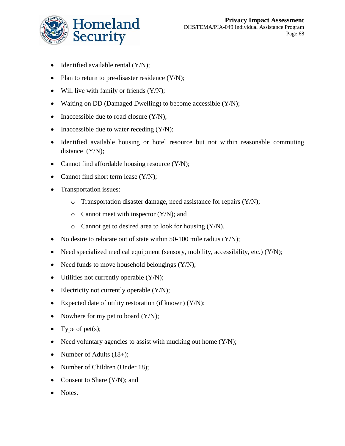

- Identified available rental  $(Y/N)$ ;
- Plan to return to pre-disaster residence  $(Y/N)$ ;
- Will live with family or friends  $(Y/N)$ ;
- Waiting on DD (Damaged Dwelling) to become accessible (Y/N);
- Inaccessible due to road closure  $(Y/N)$ ;
- Inaccessible due to water receding  $(Y/N)$ ;
- Identified available housing or hotel resource but not within reasonable commuting distance (Y/N);
- Cannot find affordable housing resource (Y/N);
- Cannot find short term lease  $(Y/N)$ ;
- Transportation issues:
	- $\circ$  Transportation disaster damage, need assistance for repairs (Y/N);
	- $\circ$  Cannot meet with inspector  $(Y/N)$ ; and
	- o Cannot get to desired area to look for housing (Y/N).
- No desire to relocate out of state within 50-100 mile radius  $(Y/N)$ ;
- Need specialized medical equipment (sensory, mobility, accessibility, etc.)  $(Y/N)$ ;
- Need funds to move household belongings  $(Y/N)$ ;
- Utilities not currently operable  $(Y/N)$ ;
- Electricity not currently operable  $(Y/N)$ ;
- Expected date of utility restoration (if known)  $(Y/N)$ ;
- Nowhere for my pet to board  $(Y/N)$ ;
- Type of pet(s);
- Need voluntary agencies to assist with mucking out home  $(Y/N)$ ;
- Number of Adults (18+);
- Number of Children (Under 18);
- Consent to Share (Y/N); and
- Notes.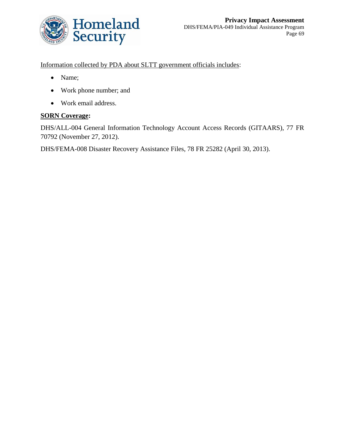

Information collected by PDA about SLTT government officials includes:

- Name;
- Work phone number; and
- Work email address.

## **SORN Coverage:**

DHS/ALL-004 General Information Technology Account Access Records (GITAARS), 77 FR 70792 (November 27, 2012).

DHS/FEMA-008 Disaster Recovery Assistance Files, 78 FR 25282 (April 30, 2013).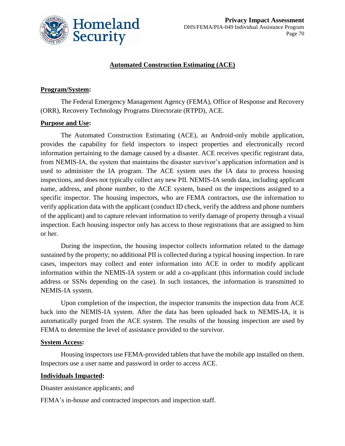

#### **Automated Construction Estimating (ACE)**

#### **Program/System:**

The Federal Emergency Management Agency (FEMA), Office of Response and Recovery (ORR), Recovery Technology Programs Directorate (RTPD), ACE.

#### **Purpose and Use:**

The Automated Construction Estimating (ACE), an Android-only mobile application, provides the capability for field inspectors to inspect properties and electronically record information pertaining to the damage caused by a disaster. ACE receives specific registrant data, from NEMIS-IA, the system that maintains the disaster survivor's application information and is used to administer the IA program. The ACE system uses the IA data to process housing inspections, and does not typically collect any new PII. NEMIS-IA sends data, including applicant name, address, and phone number, to the ACE system, based on the inspections assigned to a specific inspector. The housing inspectors, who are FEMA contractors, use the information to verify application data with the applicant (conduct ID check, verify the address and phone numbers of the applicant) and to capture relevant information to verify damage of property through a visual inspection. Each housing inspector only has access to those registrations that are assigned to him or her.

During the inspection, the housing inspector collects information related to the damage sustained by the property; no additional PII is collected during a typical housing inspection. In rare cases, inspectors may collect and enter information into ACE in order to modify applicant information within the NEMIS-IA system or add a co-applicant (this information could include address or SSNs depending on the case). In such instances, the information is transmitted to NEMIS-IA system.

Upon completion of the inspection, the inspector transmits the inspection data from ACE back into the NEMIS-IA system. After the data has been uploaded back to NEMIS-IA, it is automatically purged from the ACE system. The results of the housing inspection are used by FEMA to determine the level of assistance provided to the survivor.

#### **System Access:**

Housing inspectors use FEMA-provided tablets that have the mobile app installed on them. Inspectors use a user name and password in order to access ACE.

#### **Individuals Impacted:**

Disaster assistance applicants; and

FEMA's in-house and contracted inspectors and inspection staff.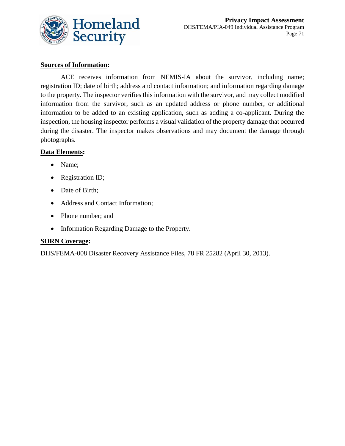

### **Sources of Information:**

ACE receives information from NEMIS-IA about the survivor, including name; registration ID; date of birth; address and contact information; and information regarding damage to the property. The inspector verifies this information with the survivor, and may collect modified information from the survivor, such as an updated address or phone number, or additional information to be added to an existing application, such as adding a co-applicant. During the inspection, the housing inspector performs a visual validation of the property damage that occurred during the disaster. The inspector makes observations and may document the damage through photographs.

#### **Data Elements:**

- Name;
- Registration ID;
- Date of Birth;
- Address and Contact Information;
- Phone number; and
- Information Regarding Damage to the Property.

#### **SORN Coverage:**

DHS/FEMA-008 Disaster Recovery Assistance Files, 78 FR 25282 (April 30, 2013).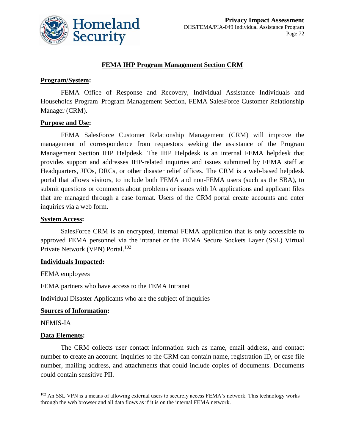

## **FEMA IHP Program Management Section CRM**

## **Program/System:**

FEMA Office of Response and Recovery, Individual Assistance Individuals and Households Program–Program Management Section, FEMA SalesForce Customer Relationship Manager (CRM).

#### **Purpose and Use:**

FEMA SalesForce Customer Relationship Management (CRM) will improve the management of correspondence from requestors seeking the assistance of the Program Management Section IHP Helpdesk. The IHP Helpdesk is an internal FEMA helpdesk that provides support and addresses IHP-related inquiries and issues submitted by FEMA staff at Headquarters, JFOs, DRCs, or other disaster relief offices. The CRM is a web-based helpdesk portal that allows visitors, to include both FEMA and non-FEMA users (such as the SBA), to submit questions or comments about problems or issues with IA applications and applicant files that are managed through a case format. Users of the CRM portal create accounts and enter inquiries via a web form.

#### **System Access:**

SalesForce CRM is an encrypted, internal FEMA application that is only accessible to approved FEMA personnel via the intranet or the FEMA Secure Sockets Layer (SSL) Virtual Private Network (VPN) Portal.<sup>102</sup>

## **Individuals Impacted:**

FEMA employees

FEMA partners who have access to the FEMA Intranet

Individual Disaster Applicants who are the subject of inquiries

#### **Sources of Information:**

NEMIS-IA

 $\overline{a}$ 

#### **Data Elements:**

The CRM collects user contact information such as name, email address, and contact number to create an account. Inquiries to the CRM can contain name, registration ID, or case file number, mailing address, and attachments that could include copies of documents. Documents could contain sensitive PII.

<sup>&</sup>lt;sup>102</sup> An SSL VPN is a means of allowing external users to securely access FEMA's network. This technology works through the web browser and all data flows as if it is on the internal FEMA network.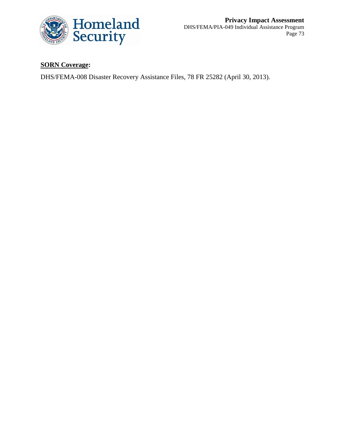

# **SORN Coverage:**

DHS/FEMA-008 Disaster Recovery Assistance Files, 78 FR 25282 (April 30, 2013).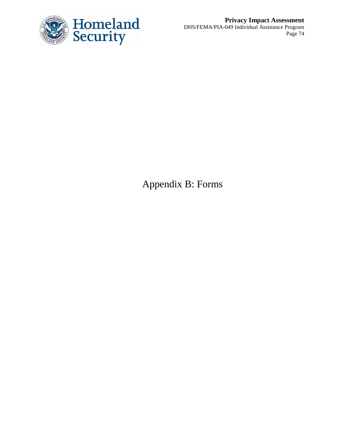

**Privacy Impact Assessment** DHS/FEMA/PIA-049 Individual Assistance Program Page 74

Appendix B: Forms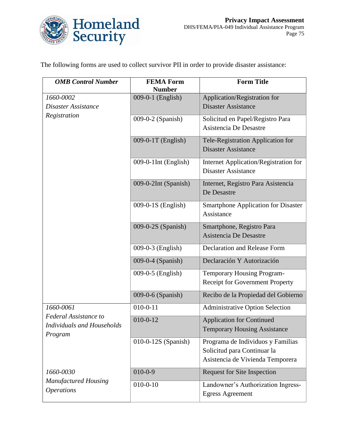

The following forms are used to collect survivor PII in order to provide disaster assistance:

| <b>OMB</b> Control Number                                                                 | <b>FEMA Form</b><br><b>Number</b> | <b>Form Title</b>                                                                                    |
|-------------------------------------------------------------------------------------------|-----------------------------------|------------------------------------------------------------------------------------------------------|
| 1660-0002<br>Disaster Assistance<br>Registration                                          | 009-0-1 (English)                 | Application/Registration for<br><b>Disaster Assistance</b>                                           |
|                                                                                           | 009-0-2 (Spanish)                 | Solicitud en Papel/Registro Para<br>Asistencia De Desastre                                           |
|                                                                                           | 009-0-1T (English)                | Tele-Registration Application for<br><b>Disaster Assistance</b>                                      |
|                                                                                           | 009-0-1Int (English)              | Internet Application/Registration for<br><b>Disaster Assistance</b>                                  |
|                                                                                           | 009-0-2Int (Spanish)              | Internet, Registro Para Asistencia<br>De Desastre                                                    |
|                                                                                           | 009-0-1S (English)                | <b>Smartphone Application for Disaster</b><br>Assistance                                             |
|                                                                                           | 009-0-2S (Spanish)                | Smartphone, Registro Para<br>Asistencia De Desastre                                                  |
|                                                                                           | 009-0-3 (English)                 | Declaration and Release Form                                                                         |
|                                                                                           | 009-0-4 (Spanish)                 | Declaración Y Autorización                                                                           |
|                                                                                           | 009-0-5 (English)                 | Temporary Housing Program-<br>Receipt for Government Property                                        |
|                                                                                           | 009-0-6 (Spanish)                 | Recibo de la Propiedad del Gobierno                                                                  |
| 1660-0061<br><b>Federal Assistance to</b><br><b>Individuals and Households</b><br>Program | $010 - 0 - 11$                    | <b>Administrative Option Selection</b>                                                               |
|                                                                                           | $010 - 0 - 12$                    | <b>Application for Continued</b><br><b>Temporary Housing Assistance</b>                              |
|                                                                                           | 010-0-12S (Spanish)               | Programa de Individuos y Familias<br>Solicitud para Continuar la<br>Asistencia de Vivienda Temporera |
| 1660-0030                                                                                 | $010 - 0 - 9$                     | <b>Request for Site Inspection</b>                                                                   |
| <b>Manufactured Housing</b><br><b>Operations</b>                                          | $010 - 0 - 10$                    | Landowner's Authorization Ingress-<br><b>Egress Agreement</b>                                        |